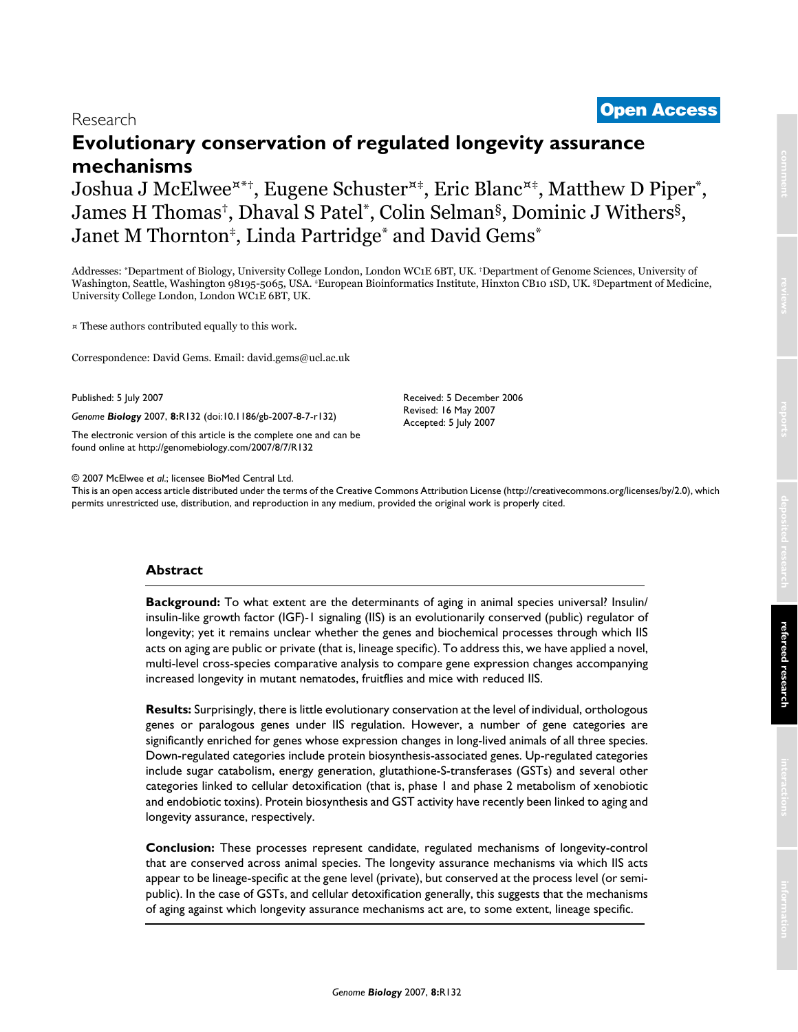# <sup>2007</sup> McElwee et al. Volume 8, Issue 7, Article R132 **[Open Access](http://www.biomedcentral.com/info/about/charter/)** Research **Evolutionary conservation of regulated longevity assurance mechanisms**

Joshua J McElwee<sup> $x^*$ †</sup>, Eugene Schuster<sup> $x^*$ </sup>, Eric Blanc<sup> $x^*$ </sup>, Matthew D Piper<sup>\*</sup>, James H Thomas†, Dhaval S Patel\*, Colin Selman§, Dominic J Withers§, Janet M Thornton‡, Linda Partridge\* and David Gems\*

Addresses: \*Department of Biology, University College London, London WC1E 6BT, UK. †Department of Genome Sciences, University of Washington, Seattle, Washington 98195-5065, USA. ‡European Bioinformatics Institute, Hinxton CB10 1SD, UK. §Department of Medicine, University College London, London WC1E 6BT, UK.

¤ These authors contributed equally to this work.

Correspondence: David Gems. Email: david.gems@ucl.ac.uk

Published: 5 July 2007

*Genome Biology* 2007, **8:**R132 (doi:10.1186/gb-2007-8-7-r132)

[The electronic version of this article is the complete one and can be](http://genomebiology.com/2007/8/7/R132)  found online at http://genomebiology.com/2007/8/7/R132

© 2007 McElwee *et al*.; licensee BioMed Central Ltd.

This is an open access article distributed under the terms of the Creative Commons Attribution License (http://creativecommons.org/licenses/by/2.0), which permits unrestricted use, distribution, and reproduction in any medium, provided the original work is properly cited.

Received: 5 December 2006 Revised: 16 May 2007 Accepted: 5 July 2007

## **Abstract**

**Background:** To what extent are the determinants of aging in animal species universal? Insulin/ insulin-like growth factor (IGF)-1 signaling (IIS) is an evolutionarily conserved (public) regulator of longevity; yet it remains unclear whether the genes and biochemical processes through which IIS acts on aging are public or private (that is, lineage specific). To address this, we have applied a novel, multi-level cross-species comparative analysis to compare gene expression changes accompanying increased longevity in mutant nematodes, fruitflies and mice with reduced IIS.

**Results:** Surprisingly, there is little evolutionary conservation at the level of individual, orthologous genes or paralogous genes under IIS regulation. However, a number of gene categories are significantly enriched for genes whose expression changes in long-lived animals of all three species. Down-regulated categories include protein biosynthesis-associated genes. Up-regulated categories include sugar catabolism, energy generation, glutathione-S-transferases (GSTs) and several other categories linked to cellular detoxification (that is, phase 1 and phase 2 metabolism of xenobiotic and endobiotic toxins). Protein biosynthesis and GST activity have recently been linked to aging and longevity assurance, respectively.

**Conclusion:** These processes represent candidate, regulated mechanisms of longevity-control that are conserved across animal species. The longevity assurance mechanisms via which IIS acts appear to be lineage-specific at the gene level (private), but conserved at the process level (or semipublic). In the case of GSTs, and cellular detoxification generally, this suggests that the mechanisms of aging against which longevity assurance mechanisms act are, to some extent, lineage specific.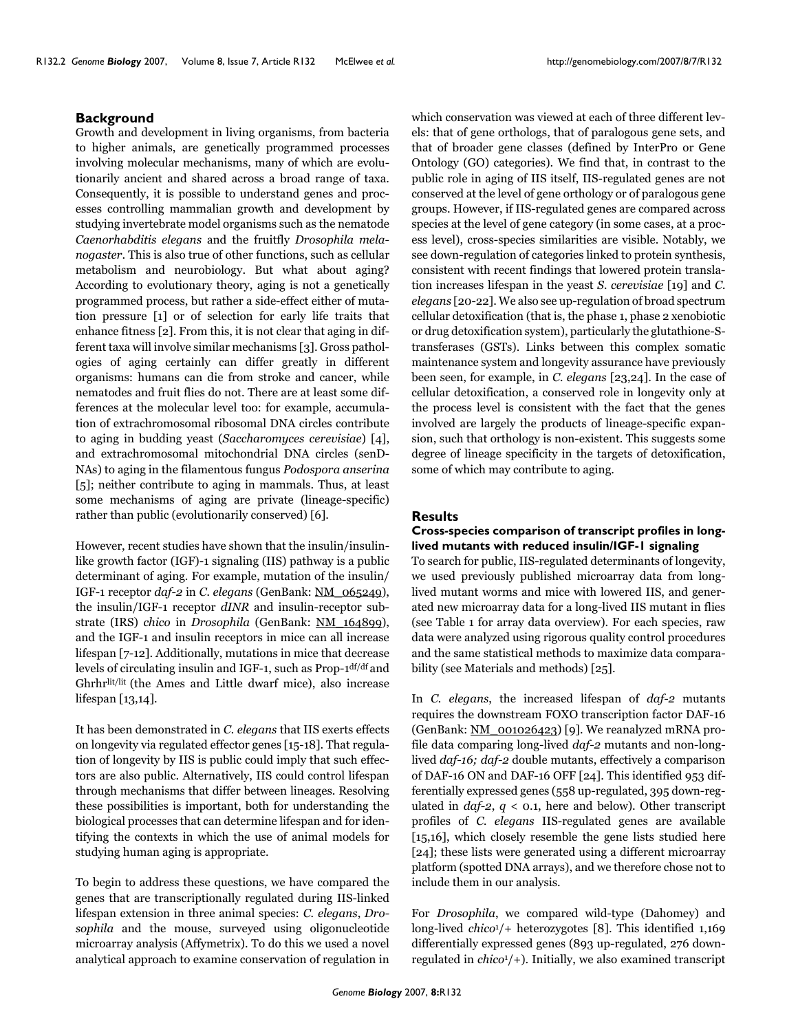## **Background**

Growth and development in living organisms, from bacteria to higher animals, are genetically programmed processes involving molecular mechanisms, many of which are evolutionarily ancient and shared across a broad range of taxa. Consequently, it is possible to understand genes and processes controlling mammalian growth and development by studying invertebrate model organisms such as the nematode *Caenorhabditis elegans* and the fruitfly *Drosophila melanogaster*. This is also true of other functions, such as cellular metabolism and neurobiology. But what about aging? According to evolutionary theory, aging is not a genetically programmed process, but rather a side-effect either of mutation pressure [1] or of selection for early life traits that enhance fitness [2]. From this, it is not clear that aging in different taxa will involve similar mechanisms [3]. Gross pathologies of aging certainly can differ greatly in different organisms: humans can die from stroke and cancer, while nematodes and fruit flies do not. There are at least some differences at the molecular level too: for example, accumulation of extrachromosomal ribosomal DNA circles contribute to aging in budding yeast (*Saccharomyces cerevisiae*) [4], and extrachromosomal mitochondrial DNA circles (senD-NAs) to aging in the filamentous fungus *Podospora anserina* [5]; neither contribute to aging in mammals. Thus, at least some mechanisms of aging are private (lineage-specific) rather than public (evolutionarily conserved) [6].

However, recent studies have shown that the insulin/insulinlike growth factor (IGF)-1 signaling (IIS) pathway is a public determinant of aging. For example, mutation of the insulin/ IGF-1 receptor *daf-2* in *C. elegans* (GenBank: [NM\\_065249](http://www.ncbi.nih.gov/entrez/query.fcgi?db=Nucleotide&cmd=search&term=NM_065249)), the insulin/IGF-1 receptor *dINR* and insulin-receptor substrate (IRS) *chico* in *Drosophila* (GenBank: [NM\\_164899](http://www.ncbi.nih.gov/entrez/query.fcgi?db=Nucleotide&cmd=search&term=NM_164899)), and the IGF-1 and insulin receptors in mice can all increase lifespan [7-12]. Additionally, mutations in mice that decrease levels of circulating insulin and IGF-1, such as Prop-1df/df and Ghrhrlit/lit (the Ames and Little dwarf mice), also increase lifespan [13,14].

It has been demonstrated in *C. elegans* that IIS exerts effects on longevity via regulated effector genes [15-18]. That regulation of longevity by IIS is public could imply that such effectors are also public. Alternatively, IIS could control lifespan through mechanisms that differ between lineages. Resolving these possibilities is important, both for understanding the biological processes that can determine lifespan and for identifying the contexts in which the use of animal models for studying human aging is appropriate.

To begin to address these questions, we have compared the genes that are transcriptionally regulated during IIS-linked lifespan extension in three animal species: *C. elegans*, *Drosophila* and the mouse, surveyed using oligonucleotide microarray analysis (Affymetrix). To do this we used a novel analytical approach to examine conservation of regulation in

which conservation was viewed at each of three different levels: that of gene orthologs, that of paralogous gene sets, and that of broader gene classes (defined by InterPro or Gene Ontology (GO) categories). We find that, in contrast to the public role in aging of IIS itself, IIS-regulated genes are not conserved at the level of gene orthology or of paralogous gene groups. However, if IIS-regulated genes are compared across species at the level of gene category (in some cases, at a process level), cross-species similarities are visible. Notably, we see down-regulation of categories linked to protein synthesis, consistent with recent findings that lowered protein translation increases lifespan in the yeast *S. cerevisiae* [19] and *C. elegans* [\[20-](#page-14-0)22]. We also see up-regulation of broad spectrum cellular detoxification (that is, the phase 1, phase 2 xenobiotic or drug detoxification system), particularly the glutathione-Stransferases (GSTs). Links between this complex somatic maintenance system and longevity assurance have previously been seen, for example, in *C. elegans* [23,24]. In the case of cellular detoxification, a conserved role in longevity only at the process level is consistent with the fact that the genes involved are largely the products of lineage-specific expansion, such that orthology is non-existent. This suggests some degree of lineage specificity in the targets of detoxification, some of which may contribute to aging.

## **Results**

## **Cross-species comparison of transcript profiles in longlived mutants with reduced insulin/IGF-1 signaling**

To search for public, IIS-regulated determinants of longevity, we used previously published microarray data from longlived mutant worms and mice with lowered IIS, and generated new microarray data for a long-lived IIS mutant in flies (see Table [1](#page-2-0) for array data overview). For each species, raw data were analyzed using rigorous quality control procedures and the same statistical methods to maximize data comparability (see Materials and methods) [25].

In *C. elegans*, the increased lifespan of *daf-2* mutants requires the downstream FOXO transcription factor DAF-16 (GenBank: [NM\\_001026423\)](http://www.ncbi.nih.gov/entrez/query.fcgi?db=Nucleotide&cmd=search&term=NM_001026423) [9]. We reanalyzed mRNA profile data comparing long-lived *daf-2* mutants and non-longlived *daf-16; daf-2* double mutants, effectively a comparison of DAF-16 ON and DAF-16 OFF [24]. This identified 953 differentially expressed genes (558 up-regulated, 395 down-regulated in *daf-2*, *q* < 0.1, here and below). Other transcript profiles of *C. elegans* IIS-regulated genes are available [15,16], which closely resemble the gene lists studied here [24]; these lists were generated using a different microarray platform (spotted DNA arrays), and we therefore chose not to include them in our analysis.

For *Drosophila*, we compared wild-type (Dahomey) and long-lived *chico*1/+ heterozygotes [8]. This identified 1,169 differentially expressed genes (893 up-regulated, 276 downregulated in *chico*1/+). Initially, we also examined transcript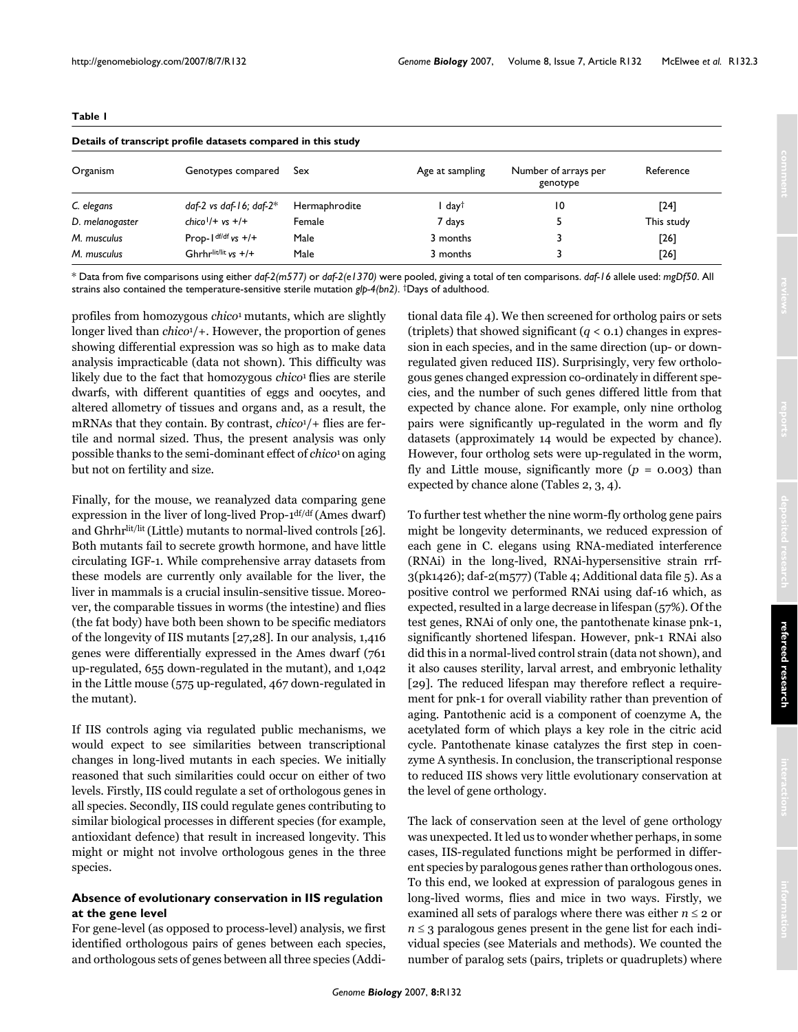<span id="page-2-0"></span>

|                 | Details of transcript profile datasets compared in this study |               |                 |                                  |            |
|-----------------|---------------------------------------------------------------|---------------|-----------------|----------------------------------|------------|
| Organism        | Genotypes compared                                            | Sex           | Age at sampling | Number of arrays per<br>genotype | Reference  |
| C. elegans      | daf-2 vs daf-16; daf-2 $*$                                    | Hermaphrodite | day†            | $\overline{10}$                  | $[24]$     |
| D. melanogaster | $chico1/+ vs +/+$                                             | Female        | 7 days          |                                  | This study |
| M. musculus     | Prop- $\frac{df}{df}$ vs $+$ /+                               | Male          | 3 months        |                                  | [26]       |
| M. musculus     | Ghrhrlit/lit $vs +/+$                                         | Male          | 3 months        |                                  | [26]       |

\* Data from five comparisons using either *daf-2(m577)* or *daf-2(e1370)* were pooled, giving a total of ten comparisons. *daf-16* allele used: *mgDf50*. All strains also contained the temperature-sensitive sterile mutation *glp-4(bn2)*. †Days of adulthood.

profiles from homozygous *chico*1 mutants, which are slightly longer lived than *chico*1/+. However, the proportion of genes showing differential expression was so high as to make data analysis impracticable (data not shown). This difficulty was likely due to the fact that homozygous *chico*1 flies are sterile dwarfs, with different quantities of eggs and oocytes, and altered allometry of tissues and organs and, as a result, the mRNAs that they contain. By contrast, *chico*1/+ flies are fertile and normal sized. Thus, the present analysis was only possible thanks to the semi-dominant effect of *chico*1 on aging but not on fertility and size.

Finally, for the mouse, we reanalyzed data comparing gene expression in the liver of long-lived Prop-1df/df (Ames dwarf) and Ghrhrlit/lit (Little) mutants to normal-lived controls [26]. Both mutants fail to secrete growth hormone, and have little circulating IGF-1. While comprehensive array datasets from these models are currently only available for the liver, the liver in mammals is a crucial insulin-sensitive tissue. Moreover, the comparable tissues in worms (the intestine) and flies (the fat body) have both been shown to be specific mediators of the longevity of IIS mutants [27,28]. In our analysis, 1,416 genes were differentially expressed in the Ames dwarf (761 up-regulated, 655 down-regulated in the mutant), and 1,042 in the Little mouse (575 up-regulated, 467 down-regulated in the mutant).

If IIS controls aging via regulated public mechanisms, we would expect to see similarities between transcriptional changes in long-lived mutants in each species. We initially reasoned that such similarities could occur on either of two levels. Firstly, IIS could regulate a set of orthologous genes in all species. Secondly, IIS could regulate genes contributing to similar biological processes in different species (for example, antioxidant defence) that result in increased longevity. This might or might not involve orthologous genes in the three species.

## **Absence of evolutionary conservation in IIS regulation at the gene level**

For gene-level (as opposed to process-level) analysis, we first identified orthologous pairs of genes between each species, and orthologous sets of genes between all three species (Additional data file 4). We then screened for ortholog pairs or sets (triplets) that showed significant  $(q < 0.1)$  changes in expression in each species, and in the same direction (up- or downregulated given reduced IIS). Surprisingly, very few orthologous genes changed expression co-ordinately in different species, and the number of such genes differed little from that expected by chance alone. For example, only nine ortholog pairs were significantly up-regulated in the worm and fly datasets (approximately 14 would be expected by chance). However, four ortholog sets were up-regulated in the worm, fly and Little mouse, significantly more  $(p = 0.003)$  than expected by chance alone (Tables [2,](#page-3-0) [3](#page-3-1), [4](#page-4-0)).

To further test whether the nine worm-fly ortholog gene pairs might be longevity determinants, we reduced expression of each gene in C. elegans using RNA-mediated interference (RNAi) in the long-lived, RNAi-hypersensitive strain rrf-3(pk1426); daf-2(m577) (Table [4;](#page-4-0) Additional data file 5). As a positive control we performed RNAi using daf-16 which, as expected, resulted in a large decrease in lifespan (57%). Of the test genes, RNAi of only one, the pantothenate kinase pnk-1, significantly shortened lifespan. However, pnk-1 RNAi also did this in a normal-lived control strain (data not shown), and it also causes sterility, larval arrest, and embryonic lethality [29]. The reduced lifespan may therefore reflect a requirement for pnk-1 for overall viability rather than prevention of aging. Pantothenic acid is a component of coenzyme A, the acetylated form of which plays a key role in the citric acid cycle. Pantothenate kinase catalyzes the first step in coenzyme A synthesis. In conclusion, the transcriptional response to reduced IIS shows very little evolutionary conservation at the level of gene orthology.

The lack of conservation seen at the level of gene orthology was unexpected. It led us to wonder whether perhaps, in some cases, IIS-regulated functions might be performed in different species by paralogous genes rather than orthologous ones. To this end, we looked at expression of paralogous genes in long-lived worms, flies and mice in two ways. Firstly, we examined all sets of paralogs where there was either  $n \leq 2$  or *n* ≤ 3 paralogous genes present in the gene list for each individual species (see Materials and methods). We counted the number of paralog sets (pairs, triplets or quadruplets) where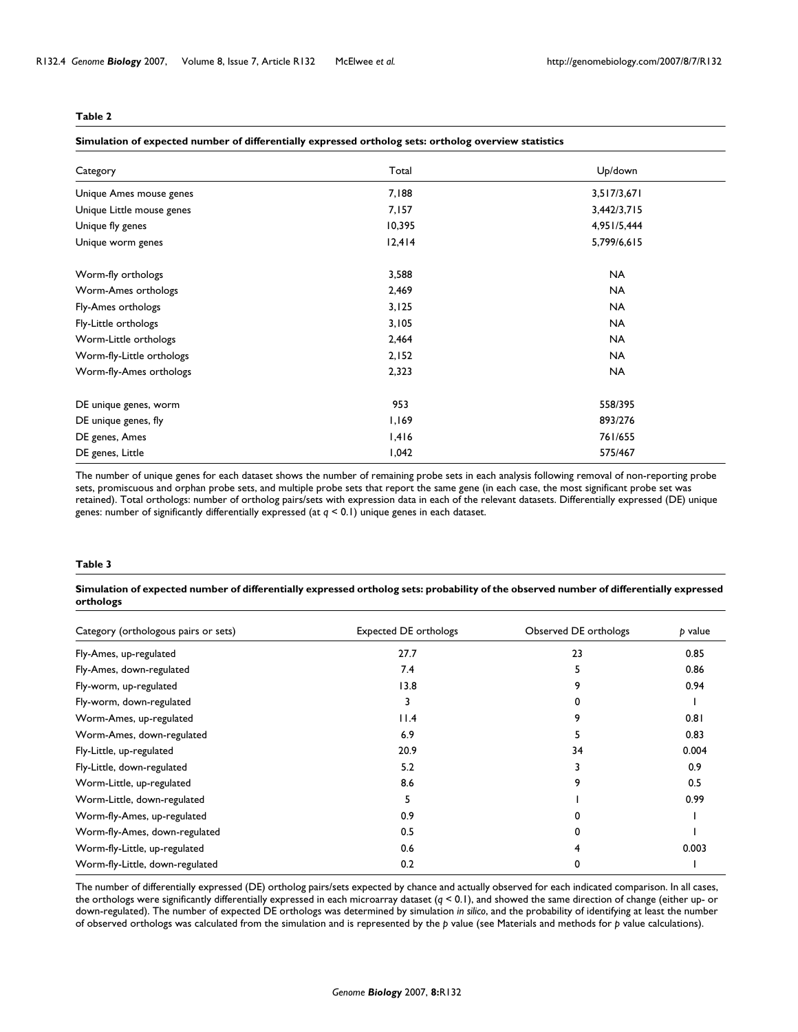#### <span id="page-3-0"></span>**Simulation of expected number of differentially expressed ortholog sets: ortholog overview statistics**

| Category                  | Total  | Up/down     |
|---------------------------|--------|-------------|
| Unique Ames mouse genes   | 7,188  | 3,517/3,671 |
| Unique Little mouse genes | 7,157  | 3,442/3,715 |
| Unique fly genes          | 10,395 | 4,951/5,444 |
| Unique worm genes         | 12,414 | 5,799/6,615 |
| Worm-fly orthologs        | 3,588  | <b>NA</b>   |
| Worm-Ames orthologs       | 2,469  | <b>NA</b>   |
| Fly-Ames orthologs        | 3,125  | <b>NA</b>   |
| Fly-Little orthologs      | 3,105  | <b>NA</b>   |
| Worm-Little orthologs     | 2,464  | <b>NA</b>   |
| Worm-fly-Little orthologs | 2,152  | <b>NA</b>   |
| Worm-fly-Ames orthologs   | 2,323  | <b>NA</b>   |
| DE unique genes, worm     | 953    | 558/395     |
| DE unique genes, fly      | 1,169  | 893/276     |
| DE genes, Ames            | 1,416  | 761/655     |
| DE genes, Little          | 1,042  | 575/467     |

The number of unique genes for each dataset shows the number of remaining probe sets in each analysis following removal of non-reporting probe sets, promiscuous and orphan probe sets, and multiple probe sets that report the same gene (in each case, the most significant probe set was retained). Total orthologs: number of ortholog pairs/sets with expression data in each of the relevant datasets. Differentially expressed (DE) unique genes: number of significantly differentially expressed (at *q* < 0.1) unique genes in each dataset.

## <span id="page-3-1"></span>**Table 3**

#### **Simulation of expected number of differentially expressed ortholog sets: probability of the observed number of differentially expressed orthologs**

| Category (orthologous pairs or sets) | <b>Expected DE orthologs</b> | Observed DE orthologs | p value |  |
|--------------------------------------|------------------------------|-----------------------|---------|--|
| Fly-Ames, up-regulated               | 27.7                         | 23                    | 0.85    |  |
| Fly-Ames, down-regulated             | 7.4                          |                       | 0.86    |  |
| Fly-worm, up-regulated               | 13.8                         | 9                     | 0.94    |  |
| Fly-worm, down-regulated             | 3                            | 0                     |         |  |
| Worm-Ames, up-regulated              | 11.4                         | 9                     | 0.81    |  |
| Worm-Ames, down-regulated            | 6.9                          |                       | 0.83    |  |
| Fly-Little, up-regulated             | 20.9                         | 34                    | 0.004   |  |
| Fly-Little, down-regulated           | 5.2                          |                       | 0.9     |  |
| Worm-Little, up-regulated            | 8.6                          | 9                     | 0.5     |  |
| Worm-Little, down-regulated          | 5                            |                       | 0.99    |  |
| Worm-fly-Ames, up-regulated          | 0.9                          |                       |         |  |
| Worm-fly-Ames, down-regulated        | 0.5                          | 0                     |         |  |
| Worm-fly-Little, up-regulated        | 0.6                          |                       | 0.003   |  |
| Worm-fly-Little, down-regulated      | 0.2                          | 0                     |         |  |

The number of differentially expressed (DE) ortholog pairs/sets expected by chance and actually observed for each indicated comparison. In all cases, the orthologs were significantly differentially expressed in each microarray dataset (*q* < 0.1), and showed the same direction of change (either up- or down-regulated). The number of expected DE orthologs was determined by simulation *in silico*, and the probability of identifying at least the number of observed orthologs was calculated from the simulation and is represented by the *p* value (see Materials and methods for *p* value calculations).

#### *Genome Biology* 2007, **8:**R132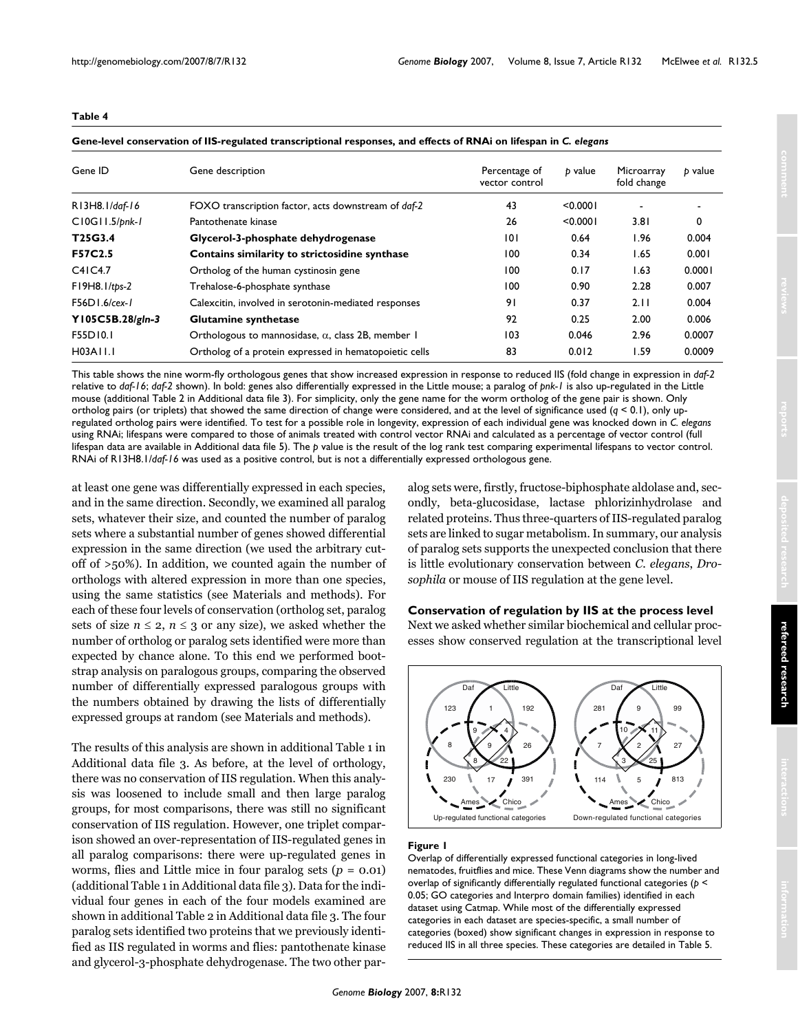#### <span id="page-4-0"></span>**Gene-level conservation of IIS-regulated transcriptional responses, and effects of RNAi on lifespan in** *C. elegans*

| Gene ID              | Gene description                                          | Percentage of<br>vector control | b value  | Microarray<br>fold change | b value |  |
|----------------------|-----------------------------------------------------------|---------------------------------|----------|---------------------------|---------|--|
| R13H8.1/daf-16       | FOXO transcription factor, acts downstream of daf-2       | 43                              | < 0.0001 |                           |         |  |
| C10G11.5/pnk-1       | Pantothenate kinase                                       | 26                              | < 0.0001 | 3.81                      | 0       |  |
| T25G3.4              | Glycerol-3-phosphate dehydrogenase                        | 101                             | 0.64     | 1.96                      | 0.004   |  |
| F57C2.5              | Contains similarity to strictosidine synthase             | 100                             | 0.34     | 1.65                      | 0.001   |  |
| C4IC4.7              | Ortholog of the human cystinosin gene                     | 100                             | 0.17     | 1.63                      | 0.0001  |  |
| $FI$ 9H8. $I$ /tps-2 | Trehalose-6-phosphate synthase                            | 100                             | 0.90     | 2.28                      | 0.007   |  |
| $F56D1.6$ /cex-1     | Calexcitin, involved in serotonin-mediated responses      | 91                              | 0.37     | 2.11                      | 0.004   |  |
| Y105C5B.28/gln-3     | Glutamine synthetase                                      | 92                              | 0.25     | 2.00                      | 0.006   |  |
| F55D10.1             | Orthologous to mannosidase, $\alpha$ , class 2B, member 1 | 103                             | 0.046    | 2.96                      | 0.0007  |  |
| H03A11.1             | Ortholog of a protein expressed in hematopoietic cells    | 83                              | 0.012    | 1.59                      | 0.0009  |  |

This table shows the nine worm-fly orthologous genes that show increased expression in response to reduced IIS (fold change in expression in *daf-2*  relative to *daf-16*; *daf-2* shown). In bold: genes also differentially expressed in the Little mouse; a paralog of *pnk-1* is also up-regulated in the Little mouse (additional Table 2 in Additional data file 3). For simplicity, only the gene name for the worm ortholog of the gene pair is shown. Only ortholog pairs (or triplets) that showed the same direction of change were considered, and at the level of significance used (*q* < 0.1), only upregulated ortholog pairs were identified. To test for a possible role in longevity, expression of each individual gene was knocked down in *C. elegans*  using RNAi; lifespans were compared to those of animals treated with control vector RNAi and calculated as a percentage of vector control (full lifespan data are available in Additional data file 5). The *p* value is the result of the log rank test comparing experimental lifespans to vector control. RNAi of R13H8.1/*daf-16* was used as a positive control, but is not a differentially expressed orthologous gene.

at least one gene was differentially expressed in each species, and in the same direction. Secondly, we examined all paralog sets, whatever their size, and counted the number of paralog sets where a substantial number of genes showed differential expression in the same direction (we used the arbitrary cutoff of >50%). In addition, we counted again the number of orthologs with altered expression in more than one species, using the same statistics (see Materials and methods). For each of these four levels of conservation (ortholog set, paralog sets of size  $n \leq 2$ ,  $n \leq 3$  or any size), we asked whether the number of ortholog or paralog sets identified were more than expected by chance alone. To this end we performed bootstrap analysis on paralogous groups, comparing the observed number of differentially expressed paralogous groups with the numbers obtained by drawing the lists of differentially expressed groups at random (see Materials and methods).

The results of this analysis are shown in additional Table [1](#page-2-0) in Additional data file 3. As before, at the level of orthology, there was no conservation of IIS regulation. When this analysis was loosened to include small and then large paralog groups, for most comparisons, there was still no significant conservation of IIS regulation. However, one triplet comparison showed an over-representation of IIS-regulated genes in all paralog comparisons: there were up-regulated genes in worms, flies and Little mice in four paralog sets (*p* = 0.01) (additional Table [1](#page-2-0) in Additional data file 3). Data for the individual four genes in each of the four models examined are shown in additional Table [2](#page-3-0) in Additional data file 3. The four paralog sets identified two proteins that we previously identified as IIS regulated in worms and flies: pantothenate kinase and glycerol-3-phosphate dehydrogenase. The two other paralog sets were, firstly, fructose-biphosphate aldolase and, secondly, beta-glucosidase, lactase phlorizinhydrolase and related proteins. Thus three-quarters of IIS-regulated paralog sets are linked to sugar metabolism. In summary, our analysis of paralog sets supports the unexpected conclusion that there is little evolutionary conservation between *C. elegans*, *Drosophila* or mouse of IIS regulation at the gene level.

## **Conservation of regulation by IIS at the process level**

Next we asked whether similar biochemical and cellular processes show conserved regulation at the transcriptional level



#### Figure 1

Overlap of differentially expressed functional categories in long-lived nematodes, fruitflies and mice. These Venn diagrams show the number and overlap of significantly differentially regulated functional categories (*p* < 0.05; GO categories and Interpro domain families) identified in each dataset using Catmap. While most of the differentially expressed categories in each dataset are species-specific, a small number of categories (boxed) show significant changes in expression in response to reduced IIS in all three species. These categories are detailed in Table 5.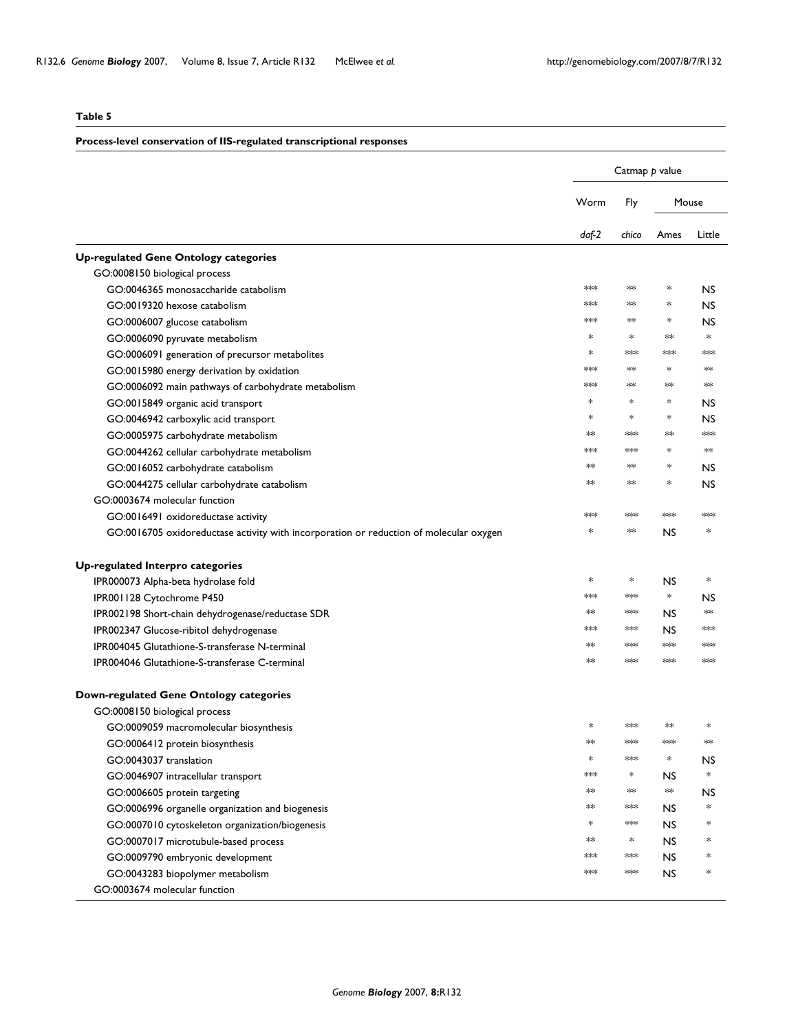## **Process-level conservation of IIS-regulated transcriptional responses**

|                                                                                        |        | Catmap p value |            |           |
|----------------------------------------------------------------------------------------|--------|----------------|------------|-----------|
|                                                                                        | Worm   | Fly            |            | Mouse     |
|                                                                                        | daf-2  | chico          | Ames       | Little    |
| <b>Up-regulated Gene Ontology categories</b>                                           |        |                |            |           |
| GO:0008150 biological process                                                          |        |                |            |           |
| GO:0046365 monosaccharide catabolism                                                   | **     | ∗×             | $\ast$     | <b>NS</b> |
| GO:0019320 hexose catabolism                                                           | ∗∗∗    | ∗×             | $\ast$     | <b>NS</b> |
| GO:0006007 glucose catabolism                                                          | $*$    | ≯∞k            | $\ast$     | <b>NS</b> |
| GO:0006090 pyruvate metabolism                                                         | $*$    | $*$            | $*$        | $\ast$    |
| GO:0006091 generation of precursor metabolites                                         | ∗      | $**$           | $*$        | $**$      |
| GO:0015980 energy derivation by oxidation                                              | **     | ∗×             | $\ast$     | **        |
| GO:0006092 main pathways of carbohydrate metabolism                                    | $*$    | ∗×             | $**$       | ∗×        |
| GO:0015849 organic acid transport                                                      | ∗      | *              | $\ast$     | NS.       |
| GO:0046942 carboxylic acid transport                                                   | $\ast$ | $\ast$         | $\ast$     | <b>NS</b> |
| GO:0005975 carbohydrate metabolism                                                     | **     | $*$            | $*$        | $*$       |
| GO:0044262 cellular carbohydrate metabolism                                            | $*$    | $*$            | $*$        | ∗×        |
| GO:0016052 carbohydrate catabolism                                                     | $**$   | ∗×             | ∗          | <b>NS</b> |
| GO:0044275 cellular carbohydrate catabolism                                            | $*$    | ≯∞k            | $\ast$     | <b>NS</b> |
| GO:0003674 molecular function                                                          |        |                |            |           |
| GO:0016491 oxidoreductase activity                                                     | ∗∗∗    | **             | $*$        | $*$       |
| GO:0016705 oxidoreductase activity with incorporation or reduction of molecular oxygen | $\ast$ | ∗×             | <b>NS</b>  | *         |
| Up-regulated Interpro categories                                                       |        |                |            |           |
| IPR000073 Alpha-beta hydrolase fold                                                    | ∗      | $\ast$         | <b>NS</b>  | $\ast$    |
| IPR001128 Cytochrome P450                                                              | $*$    | **             | $\ast$     | <b>NS</b> |
| IPR002198 Short-chain dehydrogenase/reductase SDR                                      | **     | $*$            | NS         | ∗×        |
| IPR002347 Glucose-ribitol dehydrogenase                                                | ∗∗     | **             | <b>NS</b>  | $**$      |
| IPR004045 Glutathione-S-transferase N-terminal                                         | $*$    | $*$            | $*$        | $*$       |
| <b>IPR004046 Glutathione-S-transferase C-terminal</b>                                  | $*$    | $*$            | $*$        | $*$       |
| <b>Down-regulated Gene Ontology categories</b>                                         |        |                |            |           |
| GO:0008150 biological process                                                          |        |                |            |           |
| GO:0009059 macromolecular biosynthesis                                                 | *      | **             | $*$        | *         |
| GO:0006412 protein biosynthesis                                                        |        | $*$            | ≯≫∣        |           |
| GO:0043037 translation                                                                 | $\ast$ | $*$            | $\ast$     | NS        |
| GO:0046907 intracellular transport                                                     | $*$    | $\ast$         | <b>NS</b>  | $\ast$    |
| GO:0006605 protein targeting                                                           | **     | ∗×             | $\ast\ast$ | <b>NS</b> |
| GO:0006996 organelle organization and biogenesis                                       | $*$    | **             | <b>NS</b>  | *         |
| GO:0007010 cytoskeleton organization/biogenesis                                        | $\ast$ | $***$          | <b>NS</b>  | *         |
| GO:0007017 microtubule-based process                                                   | **     | ∗              | <b>NS</b>  | *         |
| GO:0009790 embryonic development                                                       | ***    | $***$          | <b>NS</b>  | *         |
| GO:0043283 biopolymer metabolism                                                       | $*$    | $*$            | <b>NS</b>  | *         |
| GO:0003674 molecular function                                                          |        |                |            |           |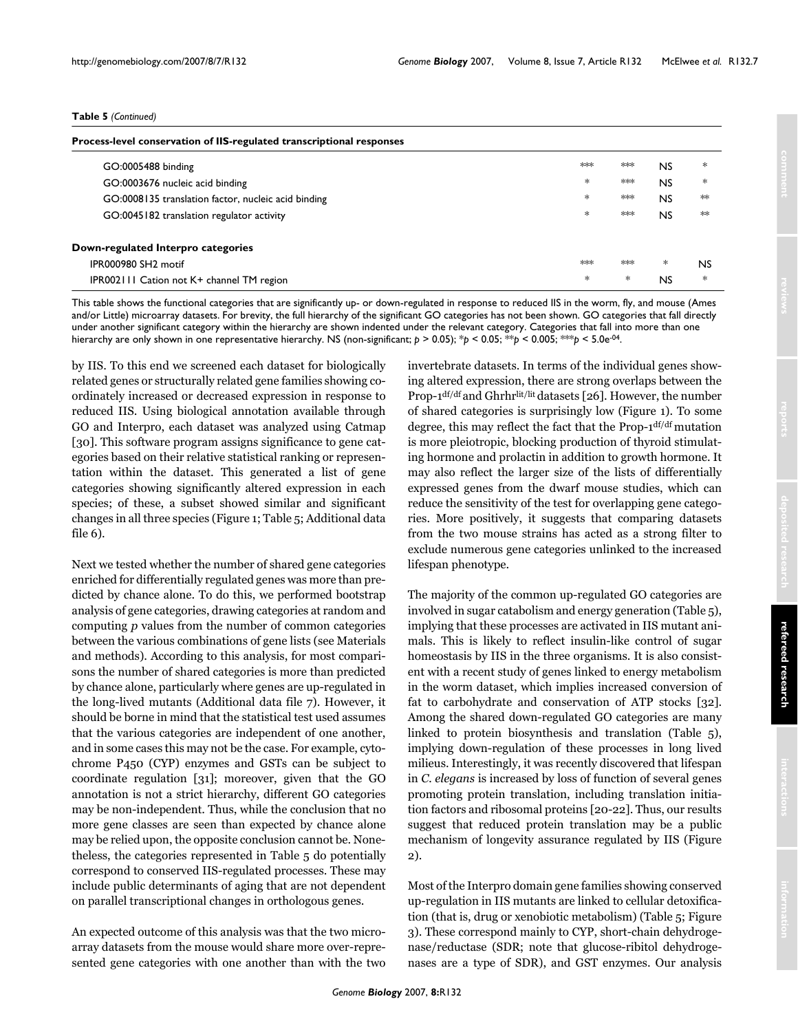#### **Table 5** *(Continued)*

| Process-level conservation of IIS-regulated transcriptional responses |     |     |                |        |
|-----------------------------------------------------------------------|-----|-----|----------------|--------|
| GO:0005488 binding                                                    | $*$ | $*$ | NS.            | $\ast$ |
| GO:0003676 nucleic acid binding                                       | $*$ | $*$ | N <sub>S</sub> | $\ast$ |
| GO:0008135 translation factor, nucleic acid binding                   | *.  | $*$ | <b>NS</b>      | $*$    |
| GO:0045182 translation regulator activity                             | $*$ | $*$ | N <sub>S</sub> | $*$    |
| Down-regulated Interpro categories                                    |     |     |                |        |
| IPR000980 SH <sub>2</sub> motif                                       | $*$ | $*$ | *              | NS     |
| IPR002111 Cation not K+ channel TM region                             | *   | *   | NS             | *      |

This table shows the functional categories that are significantly up- or down-regulated in response to reduced IIS in the worm, fly, and mouse (Ames and/or Little) microarray datasets. For brevity, the full hierarchy of the significant GO categories has not been shown. GO categories that fall directly under another significant category within the hierarchy are shown indented under the relevant category. Categories that fall into more than one hierarchy are only shown in one representative hierarchy. NS (non-significant; *p* > 0.05); \**p* < 0.05; \*\**p* < 0.005; \*\*\**p* < 5.0e-04.

by IIS. To this end we screened each dataset for biologically related genes or structurally related gene families showing coordinately increased or decreased expression in response to reduced IIS. Using biological annotation available through GO and Interpro, each dataset was analyzed using Catmap [30]. This software program assigns significance to gene categories based on their relative statistical ranking or representation within the dataset. This generated a list of gene categories showing significantly altered expression in each species; of these, a subset showed similar and significant changes in all three species (Figure 1; Table 5; Additional data file 6).

Next we tested whether the number of shared gene categories enriched for differentially regulated genes was more than predicted by chance alone. To do this, we performed bootstrap analysis of gene categories, drawing categories at random and computing *p* values from the number of common categories between the various combinations of gene lists (see Materials and methods). According to this analysis, for most comparisons the number of shared categories is more than predicted by chance alone, particularly where genes are up-regulated in the long-lived mutants (Additional data file 7). However, it should be borne in mind that the statistical test used assumes that the various categories are independent of one another, and in some cases this may not be the case. For example, cytochrome P450 (CYP) enzymes and GSTs can be subject to coordinate regulation [31]; moreover, given that the GO annotation is not a strict hierarchy, different GO categories may be non-independent. Thus, while the conclusion that no more gene classes are seen than expected by chance alone may be relied upon, the opposite conclusion cannot be. Nonetheless, the categories represented in Table 5 do potentially correspond to conserved IIS-regulated processes. These may include public determinants of aging that are not dependent on parallel transcriptional changes in orthologous genes.

An expected outcome of this analysis was that the two microarray datasets from the mouse would share more over-represented gene categories with one another than with the two invertebrate datasets. In terms of the individual genes showing altered expression, there are strong overlaps between the Prop-1<sup>df/df</sup> and Ghrhr<sup>lit/lit</sup> datasets [26]. However, the number of shared categories is surprisingly low (Figure 1). To some degree, this may reflect the fact that the Prop-1df/df mutation is more pleiotropic, blocking production of thyroid stimulating hormone and prolactin in addition to growth hormone. It may also reflect the larger size of the lists of differentially expressed genes from the dwarf mouse studies, which can reduce the sensitivity of the test for overlapping gene categories. More positively, it suggests that comparing datasets from the two mouse strains has acted as a strong filter to exclude numerous gene categories unlinked to the increased lifespan phenotype.

The majority of the common up-regulated GO categories are involved in sugar catabolism and energy generation (Table 5), implying that these processes are activated in IIS mutant animals. This is likely to reflect insulin-like control of sugar homeostasis by IIS in the three organisms. It is also consistent with a recent study of genes linked to energy metabolism in the worm dataset, which implies increased conversion of fat to carbohydrate and conservation of ATP stocks [32]. Among the shared down-regulated GO categories are many linked to protein biosynthesis and translation (Table 5), implying down-regulation of these processes in long lived milieus. Interestingly, it was recently discovered that lifespan in *C. elegans* is increased by loss of function of several genes promoting protein translation, including translation initiation factors and ribosomal proteins [\[20-](#page-14-0)22]. Thus, our results suggest that reduced protein translation may be a public mechanism of longevity assurance regulated by IIS (Figure 2).

Most of the Interpro domain gene families showing conserved up-regulation in IIS mutants are linked to cellular detoxification (that is, drug or xenobiotic metabolism) (Table 5; Figure 3). These correspond mainly to CYP, short-chain dehydrogenase/reductase (SDR; note that glucose-ribitol dehydrogenases are a type of SDR), and GST enzymes. Our analysis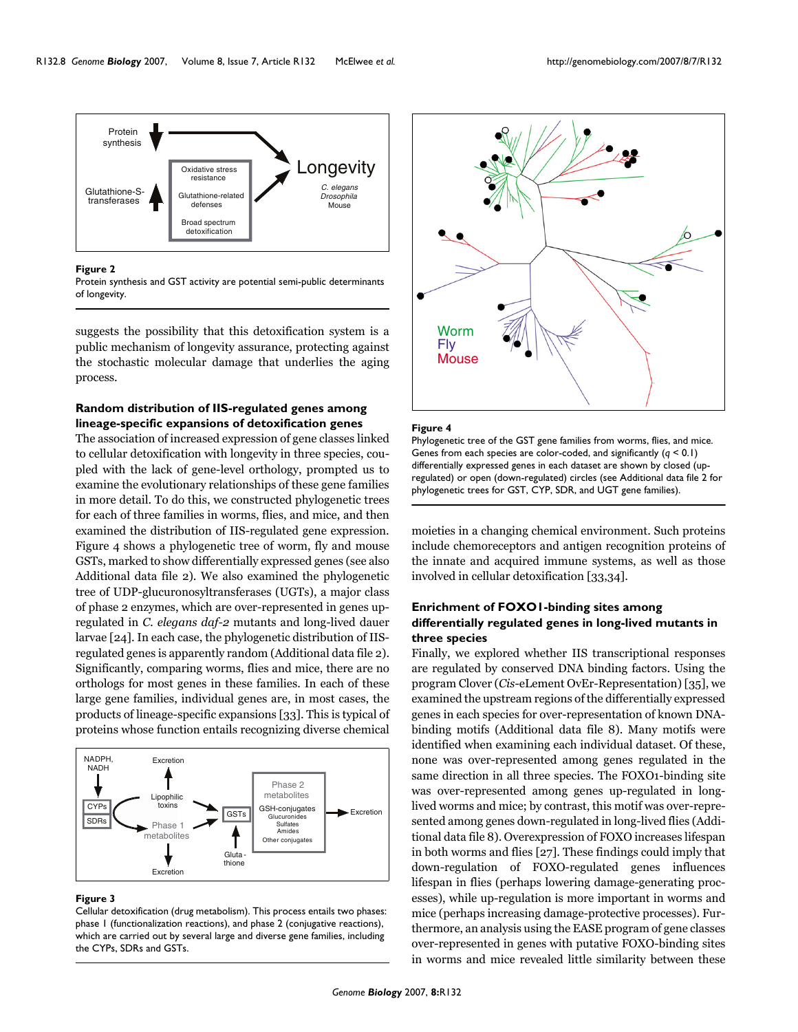

#### Figure 2

Protein synthesis and GST activity are potential semi-public determinants of longevity.

suggests the possibility that this detoxification system is a public mechanism of longevity assurance, protecting against the stochastic molecular damage that underlies the aging process.

## **Random distribution of IIS-regulated genes among lineage-specific expansions of detoxification genes**

The association of increased expression of gene classes linked to cellular detoxification with longevity in three species, coupled with the lack of gene-level orthology, prompted us to examine the evolutionary relationships of these gene families in more detail. To do this, we constructed phylogenetic trees for each of three families in worms, flies, and mice, and then examined the distribution of IIS-regulated gene expression. Figure 4 shows a phylogenetic tree of worm, fly and mouse GSTs, marked to show differentially expressed genes (see also Additional data file 2). We also examined the phylogenetic tree of UDP-glucuronosyltransferases (UGTs), a major class of phase 2 enzymes, which are over-represented in genes upregulated in *C. elegans daf-2* mutants and long-lived dauer larvae [24]. In each case, the phylogenetic distribution of IISregulated genes is apparently random (Additional data file 2). Significantly, comparing worms, flies and mice, there are no orthologs for most genes in these families. In each of these large gene families, individual genes are, in most cases, the products of lineage-specific expansions [33]. This is typical of proteins whose function entails recognizing diverse chemical



#### Figure 3

Cellular detoxification (drug metabolism). This process entails two phases: phase 1 (functionalization reactions), and phase 2 (conjugative reactions), which are carried out by several large and diverse gene families, including the CYPs, SDRs and GSTs.



#### **Figure 4**

Phylogenetic tree of the GST gene families from worms, flies, and mice. Genes from each species are color-coded, and significantly (*q* < 0.1) differentially expressed genes in each dataset are shown by closed (upregulated) or open (down-regulated) circles (see Additional data file 2 for phylogenetic trees for GST, CYP, SDR, and UGT gene families).

moieties in a changing chemical environment. Such proteins include chemoreceptors and antigen recognition proteins of the innate and acquired immune systems, as well as those involved in cellular detoxification [33,34].

## **Enrichment of FOXO1-binding sites among differentially regulated genes in long-lived mutants in three species**

Finally, we explored whether IIS transcriptional responses are regulated by conserved DNA binding factors. Using the program Clover (*Cis*-eLement OvEr-Representation) [35], we examined the upstream regions of the differentially expressed genes in each species for over-representation of known DNAbinding motifs (Additional data file 8). Many motifs were identified when examining each individual dataset. Of these, none was over-represented among genes regulated in the same direction in all three species. The FOXO1-binding site was over-represented among genes up-regulated in longlived worms and mice; by contrast, this motif was over-represented among genes down-regulated in long-lived flies (Additional data file 8). Overexpression of FOXO increases lifespan in both worms and flies [27]. These findings could imply that down-regulation of FOXO-regulated genes influences lifespan in flies (perhaps lowering damage-generating processes), while up-regulation is more important in worms and mice (perhaps increasing damage-protective processes). Furthermore, an analysis using the EASE program of gene classes over-represented in genes with putative FOXO-binding sites in worms and mice revealed little similarity between these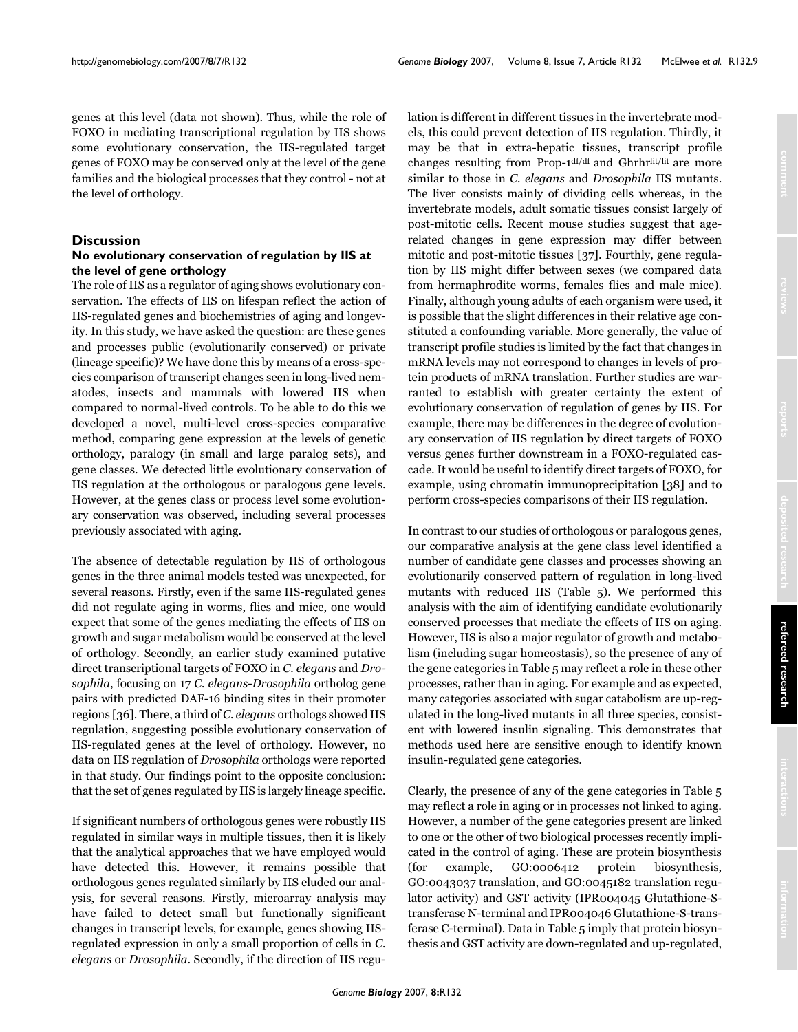genes at this level (data not shown). Thus, while the role of FOXO in mediating transcriptional regulation by IIS shows some evolutionary conservation, the IIS-regulated target genes of FOXO may be conserved only at the level of the gene families and the biological processes that they control - not at the level of orthology.

## **Discussion**

## **No evolutionary conservation of regulation by IIS at the level of gene orthology**

The role of IIS as a regulator of aging shows evolutionary conservation. The effects of IIS on lifespan reflect the action of IIS-regulated genes and biochemistries of aging and longevity. In this study, we have asked the question: are these genes and processes public (evolutionarily conserved) or private (lineage specific)? We have done this by means of a cross-species comparison of transcript changes seen in long-lived nematodes, insects and mammals with lowered IIS when compared to normal-lived controls. To be able to do this we developed a novel, multi-level cross-species comparative method, comparing gene expression at the levels of genetic orthology, paralogy (in small and large paralog sets), and gene classes. We detected little evolutionary conservation of IIS regulation at the orthologous or paralogous gene levels. However, at the genes class or process level some evolutionary conservation was observed, including several processes previously associated with aging.

The absence of detectable regulation by IIS of orthologous genes in the three animal models tested was unexpected, for several reasons. Firstly, even if the same IIS-regulated genes did not regulate aging in worms, flies and mice, one would expect that some of the genes mediating the effects of IIS on growth and sugar metabolism would be conserved at the level of orthology. Secondly, an earlier study examined putative direct transcriptional targets of FOXO in *C. elegans* and *Drosophila*, focusing on 17 *C. elegans*-*Drosophila* ortholog gene pairs with predicted DAF-16 binding sites in their promoter regions [36]. There, a third of *C. elegans* orthologs showed IIS regulation, suggesting possible evolutionary conservation of IIS-regulated genes at the level of orthology. However, no data on IIS regulation of *Drosophila* orthologs were reported in that study. Our findings point to the opposite conclusion: that the set of genes regulated by IIS is largely lineage specific.

If significant numbers of orthologous genes were robustly IIS regulated in similar ways in multiple tissues, then it is likely that the analytical approaches that we have employed would have detected this. However, it remains possible that orthologous genes regulated similarly by IIS eluded our analysis, for several reasons. Firstly, microarray analysis may have failed to detect small but functionally significant changes in transcript levels, for example, genes showing IISregulated expression in only a small proportion of cells in *C. elegans* or *Drosophila*. Secondly, if the direction of IIS regulation is different in different tissues in the invertebrate models, this could prevent detection of IIS regulation. Thirdly, it may be that in extra-hepatic tissues, transcript profile changes resulting from Prop-1df/df and Ghrhrlit/lit are more similar to those in *C. elegans* and *Drosophila* IIS mutants. The liver consists mainly of dividing cells whereas, in the invertebrate models, adult somatic tissues consist largely of post-mitotic cells. Recent mouse studies suggest that agerelated changes in gene expression may differ between mitotic and post-mitotic tissues [37]. Fourthly, gene regulation by IIS might differ between sexes (we compared data from hermaphrodite worms, females flies and male mice). Finally, although young adults of each organism were used, it is possible that the slight differences in their relative age constituted a confounding variable. More generally, the value of transcript profile studies is limited by the fact that changes in mRNA levels may not correspond to changes in levels of protein products of mRNA translation. Further studies are warranted to establish with greater certainty the extent of evolutionary conservation of regulation of genes by IIS. For example, there may be differences in the degree of evolutionary conservation of IIS regulation by direct targets of FOXO versus genes further downstream in a FOXO-regulated cascade. It would be useful to identify direct targets of FOXO, for example, using chromatin immunoprecipitation [38] and to perform cross-species comparisons of their IIS regulation.

In contrast to our studies of orthologous or paralogous genes, our comparative analysis at the gene class level identified a number of candidate gene classes and processes showing an evolutionarily conserved pattern of regulation in long-lived mutants with reduced IIS (Table 5). We performed this analysis with the aim of identifying candidate evolutionarily conserved processes that mediate the effects of IIS on aging. However, IIS is also a major regulator of growth and metabolism (including sugar homeostasis), so the presence of any of the gene categories in Table 5 may reflect a role in these other processes, rather than in aging. For example and as expected, many categories associated with sugar catabolism are up-regulated in the long-lived mutants in all three species, consistent with lowered insulin signaling. This demonstrates that methods used here are sensitive enough to identify known insulin-regulated gene categories.

Clearly, the presence of any of the gene categories in Table 5 may reflect a role in aging or in processes not linked to aging. However, a number of the gene categories present are linked to one or the other of two biological processes recently implicated in the control of aging. These are protein biosynthesis (for example, GO:0006412 protein biosynthesis, GO:0043037 translation, and GO:0045182 translation regulator activity) and GST activity (IPR004045 Glutathione-Stransferase N-terminal and IPR004046 Glutathione-S-transferase C-terminal). Data in Table 5 imply that protein biosynthesis and GST activity are down-regulated and up-regulated,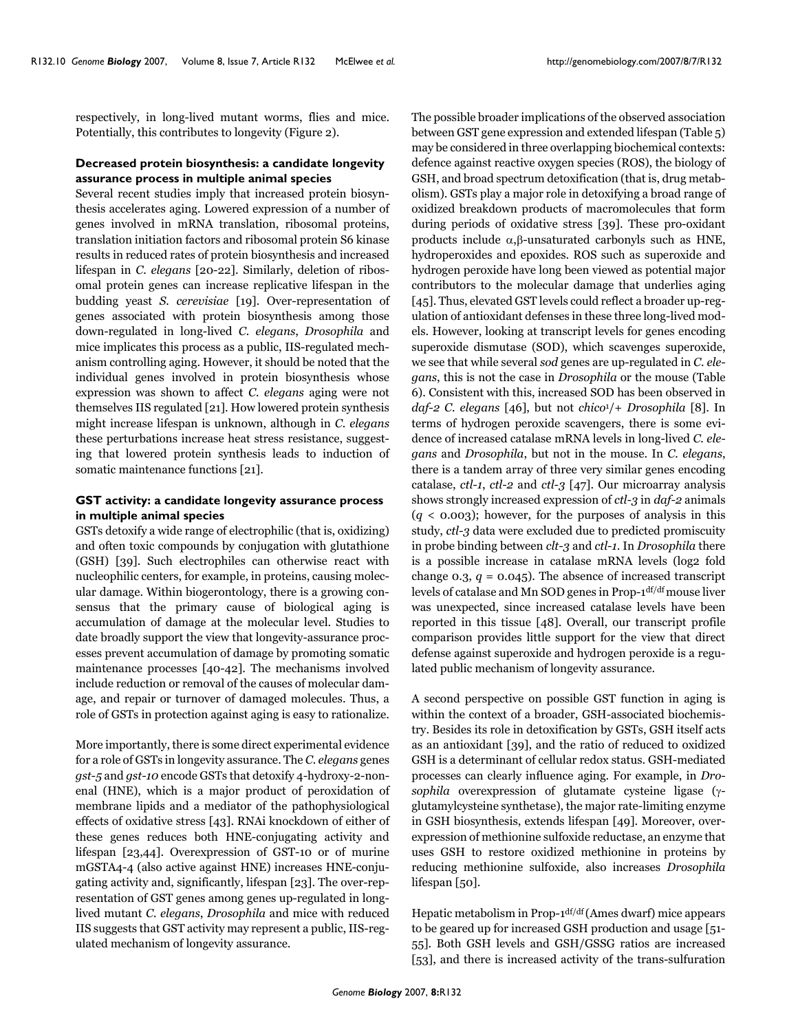respectively, in long-lived mutant worms, flies and mice. Potentially, this contributes to longevity (Figure 2).

## **Decreased protein biosynthesis: a candidate longevity assurance process in multiple animal species**

Several recent studies imply that increased protein biosynthesis accelerates aging. Lowered expression of a number of genes involved in mRNA translation, ribosomal proteins, translation initiation factors and ribosomal protein S6 kinase results in reduced rates of protein biosynthesis and increased lifespan in *C. elegans* [\[20-](#page-14-0)22]. Similarly, deletion of ribosomal protein genes can increase replicative lifespan in the budding yeast *S. cerevisiae* [19]. Over-representation of genes associated with protein biosynthesis among those down-regulated in long-lived *C. elegans*, *Drosophila* and mice implicates this process as a public, IIS-regulated mechanism controlling aging. However, it should be noted that the individual genes involved in protein biosynthesis whose expression was shown to affect *C. elegans* aging were not themselves IIS regulated [21]. How lowered protein synthesis might increase lifespan is unknown, although in *C. elegans* these perturbations increase heat stress resistance, suggesting that lowered protein synthesis leads to induction of somatic maintenance functions [21].

## **GST activity: a candidate longevity assurance process in multiple animal species**

GSTs detoxify a wide range of electrophilic (that is, oxidizing) and often toxic compounds by conjugation with glutathione (GSH) [39]. Such electrophiles can otherwise react with nucleophilic centers, for example, in proteins, causing molecular damage. Within biogerontology, there is a growing consensus that the primary cause of biological aging is accumulation of damage at the molecular level. Studies to date broadly support the view that longevity-assurance processes prevent accumulation of damage by promoting somatic maintenance processes [40-42]. The mechanisms involved include reduction or removal of the causes of molecular damage, and repair or turnover of damaged molecules. Thus, a role of GSTs in protection against aging is easy to rationalize.

More importantly, there is some direct experimental evidence for a role of GSTs in longevity assurance. The *C. elegans* genes *gst-5* and *gst-10* encode GSTs that detoxify 4-hydroxy-2-nonenal (HNE), which is a major product of peroxidation of membrane lipids and a mediator of the pathophysiological effects of oxidative stress [43]. RNAi knockdown of either of these genes reduces both HNE-conjugating activity and lifespan [23,44]. Overexpression of GST-10 or of murine mGSTA4-4 (also active against HNE) increases HNE-conjugating activity and, significantly, lifespan [23]. The over-representation of GST genes among genes up-regulated in longlived mutant *C. elegans*, *Drosophila* and mice with reduced IIS suggests that GST activity may represent a public, IIS-regulated mechanism of longevity assurance.

The possible broader implications of the observed association between GST gene expression and extended lifespan (Table 5) may be considered in three overlapping biochemical contexts: defence against reactive oxygen species (ROS), the biology of GSH, and broad spectrum detoxification (that is, drug metabolism). GSTs play a major role in detoxifying a broad range of oxidized breakdown products of macromolecules that form during periods of oxidative stress [39]. These pro-oxidant products include α,β-unsaturated carbonyls such as HNE, hydroperoxides and epoxides. ROS such as superoxide and hydrogen peroxide have long been viewed as potential major contributors to the molecular damage that underlies aging [45]. Thus, elevated GST levels could reflect a broader up-regulation of antioxidant defenses in these three long-lived models. However, looking at transcript levels for genes encoding superoxide dismutase (SOD), which scavenges superoxide, we see that while several *sod* genes are up-regulated in *C. elegans*, this is not the case in *Drosophila* or the mouse (Table [6\)](#page-10-0). Consistent with this, increased SOD has been observed in *daf-2 C. elegans* [[46\]](#page-14-1), but not *chico*1/+ *Drosophila* [8]. In terms of hydrogen peroxide scavengers, there is some evidence of increased catalase mRNA levels in long-lived *C. elegans* and *Drosophila*, but not in the mouse. In *C. elegans*, there is a tandem array of three very similar genes encoding catalase, *ctl-1*, *ctl-2* and *ctl-3* [47]. Our microarray analysis shows strongly increased expression of *ctl-3* in *daf-2* animals  $(q < 0.003)$ ; however, for the purposes of analysis in this study, *ctl-3* data were excluded due to predicted promiscuity in probe binding between *clt-3* and *ctl-1*. In *Drosophila* there is a possible increase in catalase mRNA levels (log2 fold change 0.3,  $q = 0.045$ ). The absence of increased transcript levels of catalase and Mn SOD genes in Prop-1df/df mouse liver was unexpected, since increased catalase levels have been reported in this tissue [48]. Overall, our transcript profile comparison provides little support for the view that direct defense against superoxide and hydrogen peroxide is a regulated public mechanism of longevity assurance.

A second perspective on possible GST function in aging is within the context of a broader, GSH-associated biochemistry. Besides its role in detoxification by GSTs, GSH itself acts as an antioxidant [39], and the ratio of reduced to oxidized GSH is a determinant of cellular redox status. GSH-mediated processes can clearly influence aging. For example, in *Drosophila* overexpression of glutamate cysteine ligase (γglutamylcysteine synthetase), the major rate-limiting enzyme in GSH biosynthesis, extends lifespan [49]. Moreover, overexpression of methionine sulfoxide reductase, an enzyme that uses GSH to restore oxidized methionine in proteins by reducing methionine sulfoxide, also increases *Drosophila* lifespan [50].

Hepatic metabolism in Prop-1df/df (Ames dwarf) mice appears to be geared up for increased GSH production and usage [51- 55]. Both GSH levels and GSH/GSSG ratios are increased [53], and there is increased activity of the trans-sulfuration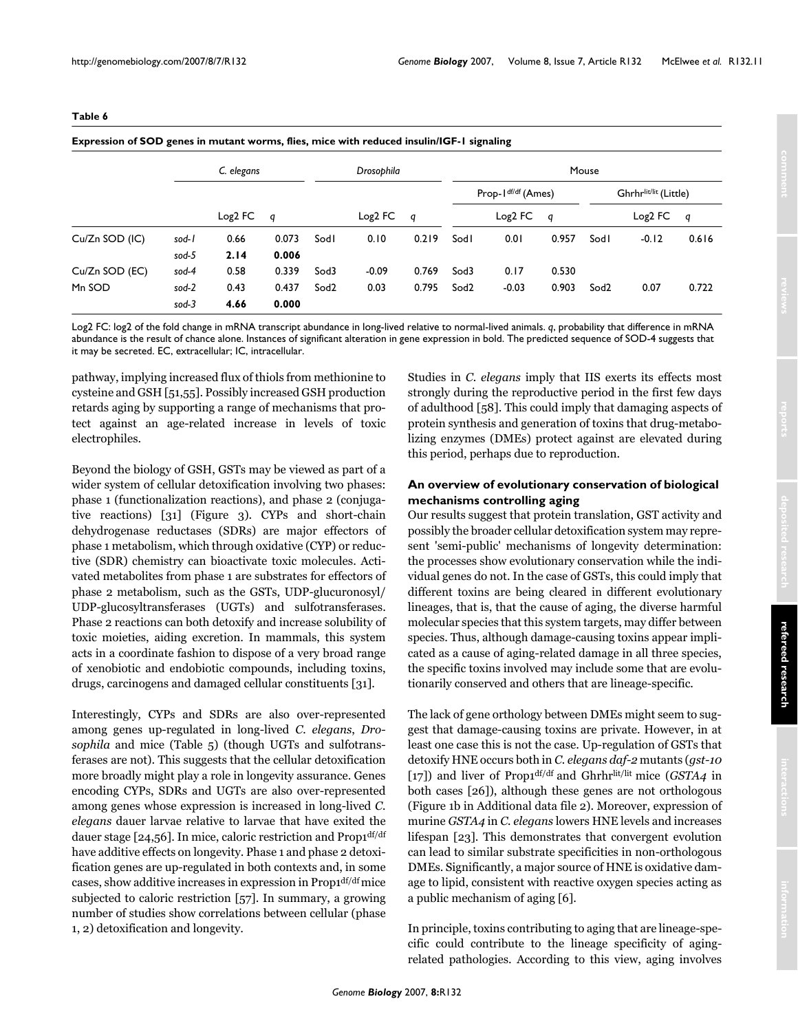<span id="page-10-0"></span>

| . .<br>٠ |  |
|----------|--|
|----------|--|

|                |       | C. elegans |       |                  | Drosophila |       | Mouse            |           |       |                  |           |       |  |  |  |  |                    |  |  |                       |  |
|----------------|-------|------------|-------|------------------|------------|-------|------------------|-----------|-------|------------------|-----------|-------|--|--|--|--|--------------------|--|--|-----------------------|--|
|                |       | $Log2$ FC  |       |                  |            |       |                  |           |       |                  |           |       |  |  |  |  | Prop-Idf/df (Ames) |  |  | Ghrhrlit/lit (Little) |  |
|                |       |            | q     |                  | $Log2$ FC  | q     |                  | $Log2$ FC | g     |                  | $Log2$ FC | q     |  |  |  |  |                    |  |  |                       |  |
| Cu/Zn SOD (IC) | sod-1 | 0.66       | 0.073 | Sodl             | 0.10       | 0.219 | Sodl             | 0.01      | 0.957 | Sodl             | $-0.12$   | 0.616 |  |  |  |  |                    |  |  |                       |  |
|                | sod-5 | 2.14       | 0.006 |                  |            |       |                  |           |       |                  |           |       |  |  |  |  |                    |  |  |                       |  |
| Cu/Zn SOD (EC) | sod-4 | 0.58       | 0.339 | Sod3             | $-0.09$    | 0.769 | Sod3             | 0.17      | 0.530 |                  |           |       |  |  |  |  |                    |  |  |                       |  |
| Mn SOD         | sod-2 | 0.43       | 0.437 | Sod <sub>2</sub> | 0.03       | 0.795 | Sod <sub>2</sub> | $-0.03$   | 0.903 | Sod <sub>2</sub> | 0.07      | 0.722 |  |  |  |  |                    |  |  |                       |  |
|                | sod-3 | 4.66       | 0.000 |                  |            |       |                  |           |       |                  |           |       |  |  |  |  |                    |  |  |                       |  |

**Expression of SOD genes in mutant worms, flies, mice with reduced insulin/IGF-1 signaling**

Log2 FC: log2 of the fold change in mRNA transcript abundance in long-lived relative to normal-lived animals. *q*, probability that difference in mRNA abundance is the result of chance alone. Instances of significant alteration in gene expression in bold. The predicted sequence of SOD-4 suggests that it may be secreted. EC, extracellular; IC, intracellular.

pathway, implying increased flux of thiols from methionine to cysteine and GSH [51,55]. Possibly increased GSH production retards aging by supporting a range of mechanisms that protect against an age-related increase in levels of toxic electrophiles.

Beyond the biology of GSH, GSTs may be viewed as part of a wider system of cellular detoxification involving two phases: phase 1 (functionalization reactions), and phase 2 (conjugative reactions) [31] (Figure 3). CYPs and short-chain dehydrogenase reductases (SDRs) are major effectors of phase 1 metabolism, which through oxidative (CYP) or reductive (SDR) chemistry can bioactivate toxic molecules. Activated metabolites from phase 1 are substrates for effectors of phase 2 metabolism, such as the GSTs, UDP-glucuronosyl/ UDP-glucosyltransferases (UGTs) and sulfotransferases. Phase 2 reactions can both detoxify and increase solubility of toxic moieties, aiding excretion. In mammals, this system acts in a coordinate fashion to dispose of a very broad range of xenobiotic and endobiotic compounds, including toxins, drugs, carcinogens and damaged cellular constituents [31].

Interestingly, CYPs and SDRs are also over-represented among genes up-regulated in long-lived *C. elegans*, *Drosophila* and mice (Table 5) (though UGTs and sulfotransferases are not). This suggests that the cellular detoxification more broadly might play a role in longevity assurance. Genes encoding CYPs, SDRs and UGTs are also over-represented among genes whose expression is increased in long-lived *C. elegans* dauer larvae relative to larvae that have exited the dauer stage [24,56]. In mice, caloric restriction and Prop1<sup>df/df</sup> have additive effects on longevity. Phase 1 and phase 2 detoxification genes are up-regulated in both contexts and, in some cases, show additive increases in expression in Prop1df/df mice subjected to caloric restriction [57]. In summary, a growing number of studies show correlations between cellular (phase 1, 2) detoxification and longevity.

Studies in *C. elegans* imply that IIS exerts its effects most strongly during the reproductive period in the first few days of adulthood [58]. This could imply that damaging aspects of protein synthesis and generation of toxins that drug-metabolizing enzymes (DMEs) protect against are elevated during this period, perhaps due to reproduction.

## **An overview of evolutionary conservation of biological mechanisms controlling aging**

Our results suggest that protein translation, GST activity and possibly the broader cellular detoxification system may represent 'semi-public' mechanisms of longevity determination: the processes show evolutionary conservation while the individual genes do not. In the case of GSTs, this could imply that different toxins are being cleared in different evolutionary lineages, that is, that the cause of aging, the diverse harmful molecular species that this system targets, may differ between species. Thus, although damage-causing toxins appear implicated as a cause of aging-related damage in all three species, the specific toxins involved may include some that are evolutionarily conserved and others that are lineage-specific.

The lack of gene orthology between DMEs might seem to suggest that damage-causing toxins are private. However, in at least one case this is not the case. Up-regulation of GSTs that detoxify HNE occurs both in *C. elegans daf-2* mutants (*gst-10* [17]) and liver of Prop1df/df and Ghrhrlit/lit mice (*GSTA4* in both cases [26]), although these genes are not orthologous (Figure 1b in Additional data file 2). Moreover, expression of murine *GSTA4* in *C. elegans* lowers HNE levels and increases lifespan [23]. This demonstrates that convergent evolution can lead to similar substrate specificities in non-orthologous DMEs. Significantly, a major source of HNE is oxidative damage to lipid, consistent with reactive oxygen species acting as a public mechanism of aging [6].

In principle, toxins contributing to aging that are lineage-specific could contribute to the lineage specificity of agingrelated pathologies. According to this view, aging involves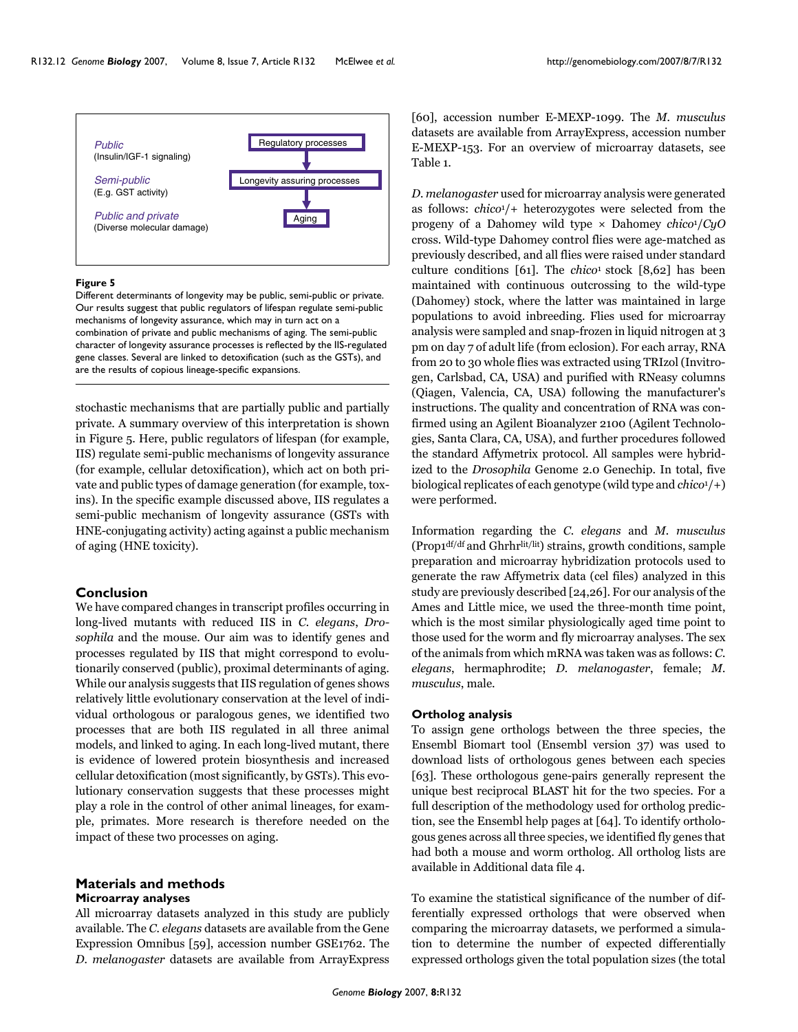

#### **Figure 5**

Different determinants of longevity may be public, semi-public or private. Our results suggest that public regulators of lifespan regulate semi-public mechanisms of longevity assurance, which may in turn act on a combination of private and public mechanisms of aging. The semi-public character of longevity assurance processes is reflected by the IIS-regulated gene classes. Several are linked to detoxification (such as the GSTs), and are the results of copious lineage-specific expansions.

stochastic mechanisms that are partially public and partially private. A summary overview of this interpretation is shown in Figure 5. Here, public regulators of lifespan (for example, IIS) regulate semi-public mechanisms of longevity assurance (for example, cellular detoxification), which act on both private and public types of damage generation (for example, toxins). In the specific example discussed above, IIS regulates a semi-public mechanism of longevity assurance (GSTs with HNE-conjugating activity) acting against a public mechanism of aging (HNE toxicity).

## **Conclusion**

We have compared changes in transcript profiles occurring in long-lived mutants with reduced IIS in *C. elegans*, *Drosophila* and the mouse. Our aim was to identify genes and processes regulated by IIS that might correspond to evolutionarily conserved (public), proximal determinants of aging. While our analysis suggests that IIS regulation of genes shows relatively little evolutionary conservation at the level of individual orthologous or paralogous genes, we identified two processes that are both IIS regulated in all three animal models, and linked to aging. In each long-lived mutant, there is evidence of lowered protein biosynthesis and increased cellular detoxification (most significantly, by GSTs). This evolutionary conservation suggests that these processes might play a role in the control of other animal lineages, for example, primates. More research is therefore needed on the impact of these two processes on aging.

## **Materials and methods Microarray analyses**

All microarray datasets analyzed in this study are publicly available. The *C. elegans* datasets are available from the Gene Expression Omnibus [59], accession number GSE1762. The *D. melanogaster* datasets are available from ArrayExpress

[60], accession number E-MEXP-1099. The *M. musculus* datasets are available from ArrayExpress, accession number E-MEXP-153. For an overview of microarray datasets, see Table [1.](#page-2-0)

*D. melanogaster* used for microarray analysis were generated as follows: *chico*1/+ heterozygotes were selected from the progeny of a Dahomey wild type × Dahomey *chico*1/*CyO* cross. Wild-type Dahomey control flies were age-matched as previously described, and all flies were raised under standard culture conditions [61]. The *chico*1 stock [8,62] has been maintained with continuous outcrossing to the wild-type (Dahomey) stock, where the latter was maintained in large populations to avoid inbreeding. Flies used for microarray analysis were sampled and snap-frozen in liquid nitrogen at 3 pm on day 7 of adult life (from eclosion). For each array, RNA from 20 to 30 whole flies was extracted using TRIzol (Invitrogen, Carlsbad, CA, USA) and purified with RNeasy columns (Qiagen, Valencia, CA, USA) following the manufacturer's instructions. The quality and concentration of RNA was confirmed using an Agilent Bioanalyzer 2100 (Agilent Technologies, Santa Clara, CA, USA), and further procedures followed the standard Affymetrix protocol. All samples were hybridized to the *Drosophila* Genome 2.0 Genechip. In total, five biological replicates of each genotype (wild type and *chico*1/+) were performed.

Information regarding the *C. elegans* and *M. musculus* (Prop1df/df and Ghrhrlit/lit) strains, growth conditions, sample preparation and microarray hybridization protocols used to generate the raw Affymetrix data (cel files) analyzed in this study are previously described [24,26]. For our analysis of the Ames and Little mice, we used the three-month time point, which is the most similar physiologically aged time point to those used for the worm and fly microarray analyses. The sex of the animals from which mRNA was taken was as follows: *C. elegans*, hermaphrodite; *D. melanogaster*, female; *M. musculus*, male.

## **Ortholog analysis**

To assign gene orthologs between the three species, the Ensembl Biomart tool (Ensembl version 37) was used to download lists of orthologous genes between each species [63]. These orthologous gene-pairs generally represent the unique best reciprocal BLAST hit for the two species. For a full description of the methodology used for ortholog prediction, see the Ensembl help pages at [64]. To identify orthologous genes across all three species, we identified fly genes that had both a mouse and worm ortholog. All ortholog lists are available in Additional data file 4.

To examine the statistical significance of the number of differentially expressed orthologs that were observed when comparing the microarray datasets, we performed a simulation to determine the number of expected differentially expressed orthologs given the total population sizes (the total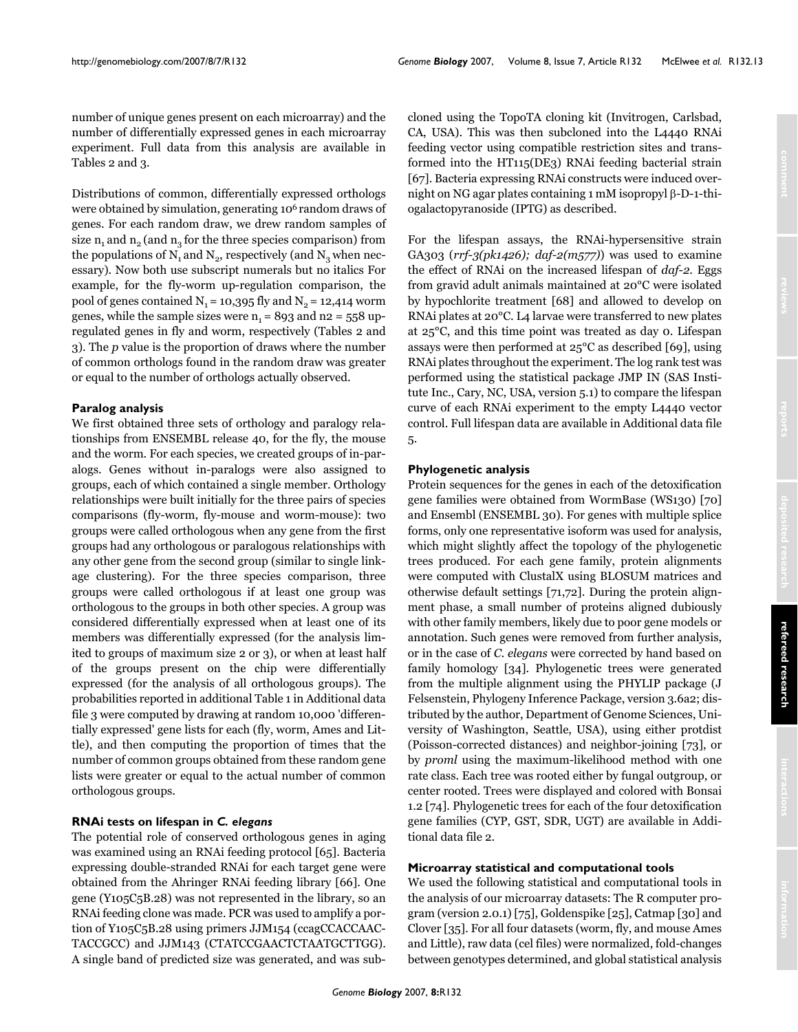number of unique genes present on each microarray) and the number of differentially expressed genes in each microarray experiment. Full data from this analysis are available in Tables [2](#page-3-0) and [3.](#page-3-1)

Distributions of common, differentially expressed orthologs were obtained by simulation, generating 106 random draws of genes. For each random draw, we drew random samples of size  $n_1$  and  $n_2$  (and  $n_3$  for the three species comparison) from the populations of  $N_1$  and  $N_2$ , respectively (and  $N_3$  when necessary). Now both use subscript numerals but no italics For example, for the fly-worm up-regulation comparison, the pool of genes contained  $N_1 = 10,395$  fly and  $N_2 = 12,414$  worm genes, while the sample sizes were  $n_1 = 893$  and  $n_2 = 558$  upregulated genes in fly and worm, respectively (Tables [2](#page-3-0) and [3](#page-3-1)). The *p* value is the proportion of draws where the number of common orthologs found in the random draw was greater or equal to the number of orthologs actually observed.

## **Paralog analysis**

We first obtained three sets of orthology and paralogy relationships from ENSEMBL release 40, for the fly, the mouse and the worm. For each species, we created groups of in-paralogs. Genes without in-paralogs were also assigned to groups, each of which contained a single member. Orthology relationships were built initially for the three pairs of species comparisons (fly-worm, fly-mouse and worm-mouse): two groups were called orthologous when any gene from the first groups had any orthologous or paralogous relationships with any other gene from the second group (similar to single linkage clustering). For the three species comparison, three groups were called orthologous if at least one group was orthologous to the groups in both other species. A group was considered differentially expressed when at least one of its members was differentially expressed (for the analysis limited to groups of maximum size 2 or 3), or when at least half of the groups present on the chip were differentially expressed (for the analysis of all orthologous groups). The probabilities reported in additional Table [1](#page-2-0) in Additional data file 3 were computed by drawing at random 10,000 'differentially expressed' gene lists for each (fly, worm, Ames and Little), and then computing the proportion of times that the number of common groups obtained from these random gene lists were greater or equal to the actual number of common orthologous groups.

## **RNAi tests on lifespan in** *C. elegans*

The potential role of conserved orthologous genes in aging was examined using an RNAi feeding protocol [65]. Bacteria expressing double-stranded RNAi for each target gene were obtained from the Ahringer RNAi feeding library [66]. One gene (Y105C5B.28) was not represented in the library, so an RNAi feeding clone was made. PCR was used to amplify a portion of Y105C5B.28 using primers JJM154 (ccagCCACCAAC-TACCGCC) and JJM143 (CTATCCGAACTCTAATGCTTGG). A single band of predicted size was generated, and was subcloned using the TopoTA cloning kit (Invitrogen, Carlsbad, CA, USA). This was then subcloned into the L4440 RNAi feeding vector using compatible restriction sites and transformed into the HT115(DE3) RNAi feeding bacterial strain [67]. Bacteria expressing RNAi constructs were induced overnight on NG agar plates containing 1 mM isopropyl β-D-1-thiogalactopyranoside (IPTG) as described.

For the lifespan assays, the RNAi-hypersensitive strain GA303 (*rrf-3(pk1426); daf-2(m577)*) was used to examine the effect of RNAi on the increased lifespan of *daf-2*. Eggs from gravid adult animals maintained at 20°C were isolated by hypochlorite treatment [68] and allowed to develop on RNAi plates at 20°C. L4 larvae were transferred to new plates at 25°C, and this time point was treated as day 0. Lifespan assays were then performed at 25°C as described [69], using RNAi plates throughout the experiment. The log rank test was performed using the statistical package JMP IN (SAS Institute Inc., Cary, NC, USA, version 5.1) to compare the lifespan curve of each RNAi experiment to the empty L4440 vector control. Full lifespan data are available in Additional data file 5.

#### **Phylogenetic analysis**

Protein sequences for the genes in each of the detoxification gene families were obtained from WormBase (WS130) [70] and Ensembl (ENSEMBL 30). For genes with multiple splice forms, only one representative isoform was used for analysis, which might slightly affect the topology of the phylogenetic trees produced. For each gene family, protein alignments were computed with ClustalX using BLOSUM matrices and otherwise default settings [71,72]. During the protein alignment phase, a small number of proteins aligned dubiously with other family members, likely due to poor gene models or annotation. Such genes were removed from further analysis, or in the case of *C. elegans* were corrected by hand based on family homology [34]. Phylogenetic trees were generated from the multiple alignment using the PHYLIP package (J Felsenstein, Phylogeny Inference Package, version 3.6a2; distributed by the author, Department of Genome Sciences, University of Washington, Seattle, USA), using either protdist (Poisson-corrected distances) and neighbor-joining [73], or by *proml* using the maximum-likelihood method with one rate class. Each tree was rooted either by fungal outgroup, or center rooted. Trees were displayed and colored with Bonsai 1.2 [74]. Phylogenetic trees for each of the four detoxification gene families (CYP, GST, SDR, UGT) are available in Additional data file 2.

## **Microarray statistical and computational tools**

We used the following statistical and computational tools in the analysis of our microarray datasets: The R computer program (version 2.0.1) [75], Goldenspike [25], Catmap [30] and Clover [35]. For all four datasets (worm, fly, and mouse Ames and Little), raw data (cel files) were normalized, fold-changes between genotypes determined, and global statistical analysis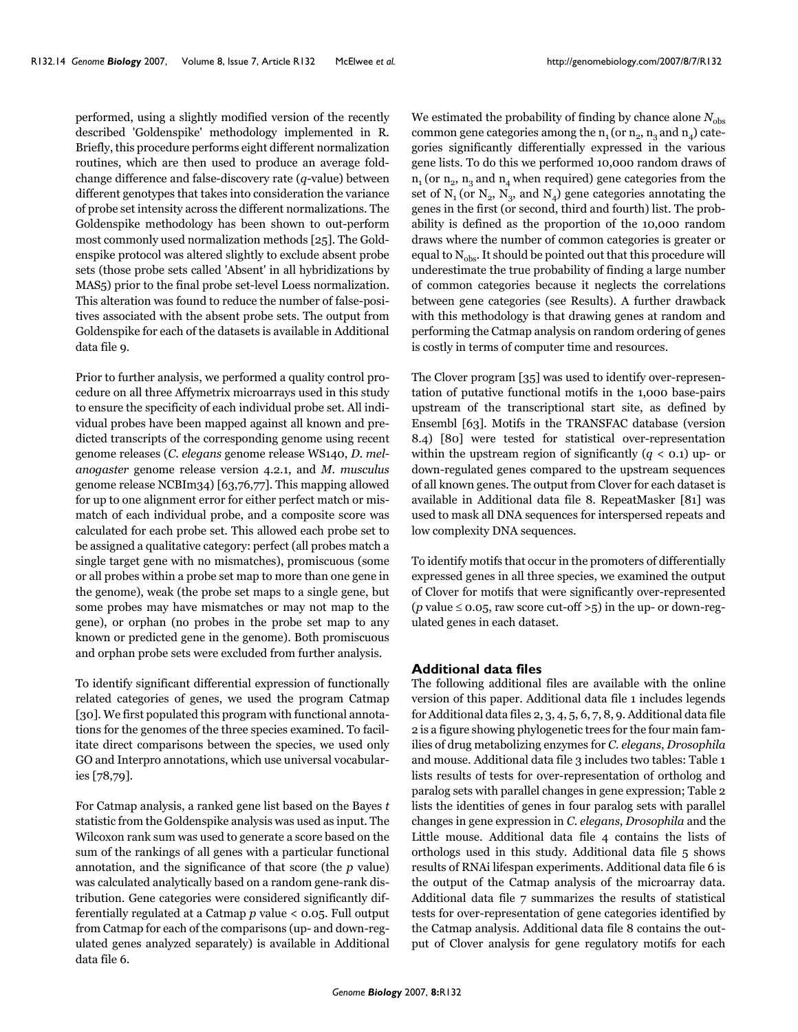performed, using a slightly modified version of the recently described 'Goldenspike' methodology implemented in R. Briefly, this procedure performs eight different normalization routines, which are then used to produce an average foldchange difference and false-discovery rate (*q*-value) between different genotypes that takes into consideration the variance of probe set intensity across the different normalizations. The Goldenspike methodology has been shown to out-perform most commonly used normalization methods [25]. The Goldenspike protocol was altered slightly to exclude absent probe sets (those probe sets called 'Absent' in all hybridizations by MAS5) prior to the final probe set-level Loess normalization. This alteration was found to reduce the number of false-positives associated with the absent probe sets. The output from Goldenspike for each of the datasets is available in Additional data file 9.

Prior to further analysis, we performed a quality control procedure on all three Affymetrix microarrays used in this study to ensure the specificity of each individual probe set. All individual probes have been mapped against all known and predicted transcripts of the corresponding genome using recent genome releases (*C. elegans* genome release WS140, *D. melanogaster* genome release version 4.2.1, and *M. musculus* genome release NCBIm34) [63,76,77]. This mapping allowed for up to one alignment error for either perfect match or mismatch of each individual probe, and a composite score was calculated for each probe set. This allowed each probe set to be assigned a qualitative category: perfect (all probes match a single target gene with no mismatches), promiscuous (some or all probes within a probe set map to more than one gene in the genome), weak (the probe set maps to a single gene, but some probes may have mismatches or may not map to the gene), or orphan (no probes in the probe set map to any known or predicted gene in the genome). Both promiscuous and orphan probe sets were excluded from further analysis.

To identify significant differential expression of functionally related categories of genes, we used the program Catmap [30]. We first populated this program with functional annotations for the genomes of the three species examined. To facilitate direct comparisons between the species, we used only GO and Interpro annotations, which use universal vocabularies [78,79].

For Catmap analysis, a ranked gene list based on the Bayes *t* statistic from the Goldenspike analysis was used as input. The Wilcoxon rank sum was used to generate a score based on the sum of the rankings of all genes with a particular functional annotation, and the significance of that score (the *p* value) was calculated analytically based on a random gene-rank distribution. Gene categories were considered significantly differentially regulated at a Catmap *p* value < 0.05. Full output from Catmap for each of the comparisons (up- and down-regulated genes analyzed separately) is available in Additional data file 6.

We estimated the probability of finding by chance alone  $N_{obs}$ common gene categories among the  $n_1$  (or  $n_2$ ,  $n_3$  and  $n_4$ ) categories significantly differentially expressed in the various gene lists. To do this we performed 10,000 random draws of  $n_1$  (or  $n_2$ ,  $n_3$  and  $n_4$  when required) gene categories from the set of  $N_1$  (or  $N_2$ ,  $N_3$ , and  $N_4$ ) gene categories annotating the genes in the first (or second, third and fourth) list. The probability is defined as the proportion of the 10,000 random draws where the number of common categories is greater or equal to  $N_{obs}$ . It should be pointed out that this procedure will underestimate the true probability of finding a large number of common categories because it neglects the correlations between gene categories (see Results). A further drawback with this methodology is that drawing genes at random and performing the Catmap analysis on random ordering of genes is costly in terms of computer time and resources.

The Clover program [35] was used to identify over-representation of putative functional motifs in the 1,000 base-pairs upstream of the transcriptional start site, as defined by Ensembl [63]. Motifs in the TRANSFAC database (version 8.4) [80] were tested for statistical over-representation within the upstream region of significantly  $(q < 0.1)$  up- or down-regulated genes compared to the upstream sequences of all known genes. The output from Clover for each dataset is available in Additional data file 8. RepeatMasker [81] was used to mask all DNA sequences for interspersed repeats and low complexity DNA sequences.

To identify motifs that occur in the promoters of differentially expressed genes in all three species, we examined the output of Clover for motifs that were significantly over-represented (*p* value  $\leq$  0.05, raw score cut-off >5) in the up- or down-regulated genes in each dataset.

## **Additional data files**

The following additional files are available with the online version of this paper. Additional data file 1 includes legends for Additional data files 2, 3, 4, 5, 6, 7, 8, 9. Additional data file 2 is a figure showing phylogenetic trees for the four main families of drug metabolizing enzymes for *C. elegans*, *Drosophila* and mouse. Additional data file 3 includes two tables: Table [1](#page-2-0) lists results of tests for over-representation of ortholog and paralog sets with parallel changes in gene expression; Table [2](#page-3-0) lists the identities of genes in four paralog sets with parallel changes in gene expression in *C. elegans*, *Drosophila* and the Little mouse. Additional data file 4 contains the lists of orthologs used in this study. Additional data file 5 shows results of RNAi lifespan experiments. Additional data file 6 is the output of the Catmap analysis of the microarray data. Additional data file 7 summarizes the results of statistical tests for over-representation of gene categories identified by the Catmap analysis. Additional data file 8 contains the output of Clover analysis for gene regulatory motifs for each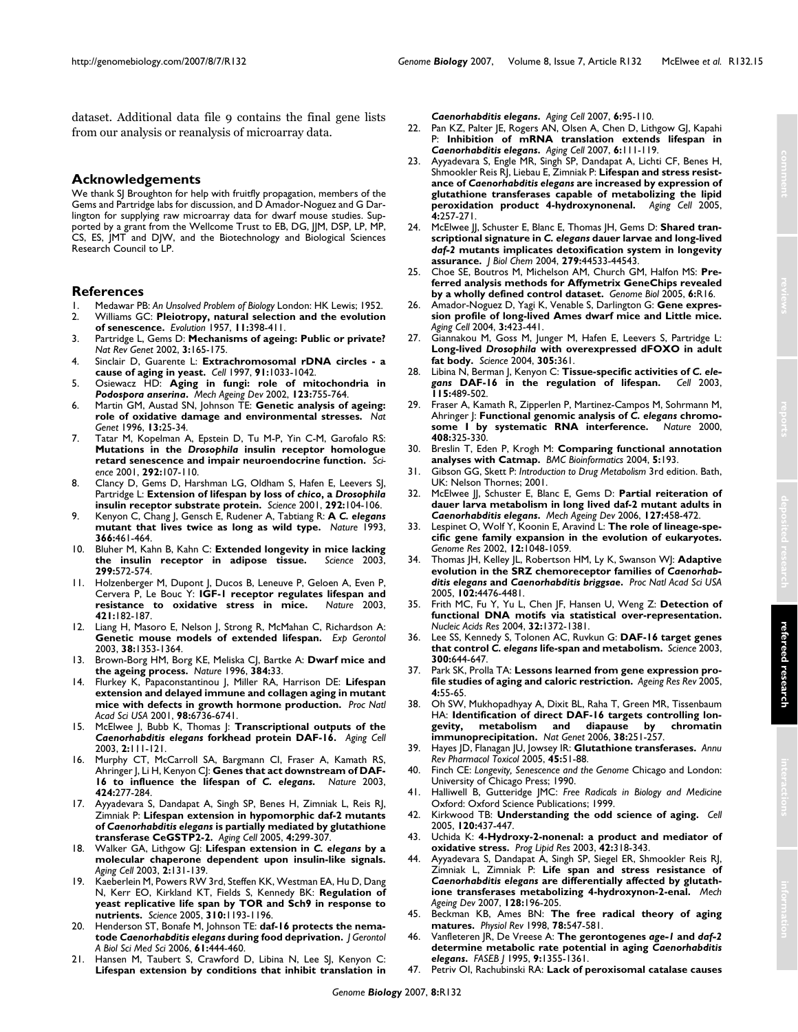dataset. Additional data file 9 contains the final gene lists from our analysis or reanalysis of microarray data.

**Acknowledgements**

We thank SJ Broughton for help with fruitfly propagation, members of the Gems and Partridge labs for discussion, and D Amador-Noguez and G Darlington for supplying raw microarray data for dwarf mouse studies. Supported by a grant from the Wellcome Trust to EB, DG, JJM, DSP, LP, MP, CS, ES, JMT and DJW, and the Biotechnology and Biological Sciences Research Council to LP.

## **References**

- 1. Medawar PB: *An Unsolved Problem of Biology* London: HK Lewis; 1952. 2. Williams GC: **Pleiotropy, natural selection and the evolution**
- **of senescence.** *Evolution* 1957, **11:**398-411. 3. Partridge L, Gems D: **[Mechanisms of ageing: Public or private?](http://www.ncbi.nlm.nih.gov/entrez/query.fcgi?cmd=Retrieve&db=PubMed&dopt=Abstract&list_uids=11972154)**
- *Nat Rev Genet* 2002, **3:**165-175.
- 4. Sinclair D, Guarente L: **[Extrachromosomal rDNA circles a](http://www.ncbi.nlm.nih.gov/entrez/query.fcgi?cmd=Retrieve&db=PubMed&dopt=Abstract&list_uids=9428525) [cause of aging in yeast.](http://www.ncbi.nlm.nih.gov/entrez/query.fcgi?cmd=Retrieve&db=PubMed&dopt=Abstract&list_uids=9428525)** *Cell* 1997, **91:**1033-1042.
- 5. Osiewacz HD: **Aging in fungi: role of mitochondria in** *Podospora anserina***[.](http://www.ncbi.nlm.nih.gov/entrez/query.fcgi?cmd=Retrieve&db=PubMed&dopt=Abstract&list_uids=11869733)** *Mech Ageing Dev* 2002, **123:**755-764.
- 6. Martin GM, Austad SN, Johnson TE: **[Genetic analysis of ageing:](http://www.ncbi.nlm.nih.gov/entrez/query.fcgi?cmd=Retrieve&db=PubMed&dopt=Abstract&list_uids=8673100) [role of oxidative damage and environmental stresses.](http://www.ncbi.nlm.nih.gov/entrez/query.fcgi?cmd=Retrieve&db=PubMed&dopt=Abstract&list_uids=8673100)** *Nat Genet* 1996, **13:**25-34.
- 7. Tatar M, Kopelman A, Epstein D, Tu M-P, Yin C-M, Garofalo RS: **Mutations in the** *Drosophila* **[insulin receptor homologue](http://www.ncbi.nlm.nih.gov/entrez/query.fcgi?cmd=Retrieve&db=PubMed&dopt=Abstract&list_uids=11292875) [retard senescence and impair neuroendocrine function.](http://www.ncbi.nlm.nih.gov/entrez/query.fcgi?cmd=Retrieve&db=PubMed&dopt=Abstract&list_uids=11292875)** *Science* 2001, **292:**107-110.
- 8. Clancy D, Gems D, Harshman LG, Oldham S, Hafen E, Leevers SJ, Partridge L: **Extension of lifespan by loss of** *chico***, a** *Drosophila* **[insulin receptor substrate protein.](http://www.ncbi.nlm.nih.gov/entrez/query.fcgi?cmd=Retrieve&db=PubMed&dopt=Abstract&list_uids=11292874)** *Science* 2001, **292:**104-106.
- 9. Kenyon C, Chang J, Gensch E, Rudener A, Tabtiang R: **A** *C. elegans* **[mutant that lives twice as long as wild type.](http://www.ncbi.nlm.nih.gov/entrez/query.fcgi?cmd=Retrieve&db=PubMed&dopt=Abstract&list_uids=8247153)** *Nature* 1993, **366:**461-464.
- 10. Bluher M, Kahn B, Kahn C: **[Extended longevity in mice lacking](http://www.ncbi.nlm.nih.gov/entrez/query.fcgi?cmd=Retrieve&db=PubMed&dopt=Abstract&list_uids=12543978) [the insulin receptor in adipose tissue.](http://www.ncbi.nlm.nih.gov/entrez/query.fcgi?cmd=Retrieve&db=PubMed&dopt=Abstract&list_uids=12543978)** *Science* 2003, **299:**572-574.
- 11. Holzenberger M, Dupont J, Ducos B, Leneuve P, Geloen A, Even P, Cervera P, Le Bouc Y: **[IGF-1 receptor regulates lifespan and](http://www.ncbi.nlm.nih.gov/entrez/query.fcgi?cmd=Retrieve&db=PubMed&dopt=Abstract&list_uids=12483226)** [resistance to oxidative stress in mice.](http://www.ncbi.nlm.nih.gov/entrez/query.fcgi?cmd=Retrieve&db=PubMed&dopt=Abstract&list_uids=12483226) **421:**182-187.
- 12. Liang H, Masoro E, Nelson J, Strong R, McMahan C, Richardson A: **[Genetic mouse models of extended lifespan.](http://www.ncbi.nlm.nih.gov/entrez/query.fcgi?cmd=Retrieve&db=PubMed&dopt=Abstract&list_uids=14698816)** *Exp Gerontol* 2003, **38:**1353-1364.
- 13. Brown-Borg HM, Borg KE, Meliska CJ, Bartke A: **[Dwarf mice and](http://www.ncbi.nlm.nih.gov/entrez/query.fcgi?cmd=Retrieve&db=PubMed&dopt=Abstract&list_uids=8900272) [the ageing process.](http://www.ncbi.nlm.nih.gov/entrez/query.fcgi?cmd=Retrieve&db=PubMed&dopt=Abstract&list_uids=8900272)** *Nature* 1996, **384:**33.
- 14. Flurkey K, Papaconstantinou J, Miller RA, Harrison DE: **[Lifespan](http://www.ncbi.nlm.nih.gov/entrez/query.fcgi?cmd=Retrieve&db=PubMed&dopt=Abstract&list_uids=11371619) [extension and delayed immune and collagen aging in mutant](http://www.ncbi.nlm.nih.gov/entrez/query.fcgi?cmd=Retrieve&db=PubMed&dopt=Abstract&list_uids=11371619) [mice with defects in growth hormone production.](http://www.ncbi.nlm.nih.gov/entrez/query.fcgi?cmd=Retrieve&db=PubMed&dopt=Abstract&list_uids=11371619)** *Proc Natl Acad Sci USA* 2001, **98:**6736-6741.
- 15. McElwee J, Bubb K, Thomas J: **Transcriptional outputs of the** *Caenorhabditis elegans* **[forkhead protein DAF-16.](http://www.ncbi.nlm.nih.gov/entrez/query.fcgi?cmd=Retrieve&db=PubMed&dopt=Abstract&list_uids=12882324)** *Aging Cell* 2003, **2:**111-121.
- 16. Murphy CT, McCarroll SA, Bargmann CI, Fraser A, Kamath RS, Ahringer J, Li H, Kenyon CJ: Genes that act downstream of DAF-**16 to influence the lifespan of** *C. elegans***[.](http://www.ncbi.nlm.nih.gov/entrez/query.fcgi?cmd=Retrieve&db=PubMed&dopt=Abstract&list_uids=12845331)** *Nature* 2003, **424:**277-284.
- 17. Ayyadevara S, Dandapat A, Singh SP, Benes H, Zimniak L, Reis RJ, Zimniak P: **Lifespan extension in hypomorphic daf-2 mutants of** *Caenorhabditis elegans* **[is partially mediated by glutathione](http://www.ncbi.nlm.nih.gov/entrez/query.fcgi?cmd=Retrieve&db=PubMed&dopt=Abstract&list_uids=16300482) [transferase CeGSTP2-2.](http://www.ncbi.nlm.nih.gov/entrez/query.fcgi?cmd=Retrieve&db=PubMed&dopt=Abstract&list_uids=16300482)** *Aging Cell* 2005, **4:**299-307.
- 18. Walker GA, Lithgow GJ: **Lifespan extension in** *C. elegans* **[by a](http://www.ncbi.nlm.nih.gov/entrez/query.fcgi?cmd=Retrieve&db=PubMed&dopt=Abstract&list_uids=12882326) [molecular chaperone dependent upon insulin-like signals.](http://www.ncbi.nlm.nih.gov/entrez/query.fcgi?cmd=Retrieve&db=PubMed&dopt=Abstract&list_uids=12882326)** *Aging Cell* 2003, **2:**131-139.
- 19. Kaeberlein M, Powers RW 3rd, Steffen KK, Westman EA, Hu D, Dang N, Kerr EO, Kirkland KT, Fields S, Kennedy BK: **[Regulation of](http://www.ncbi.nlm.nih.gov/entrez/query.fcgi?cmd=Retrieve&db=PubMed&dopt=Abstract&list_uids=16293764) [yeast replicative life span by TOR and Sch9 in response to](http://www.ncbi.nlm.nih.gov/entrez/query.fcgi?cmd=Retrieve&db=PubMed&dopt=Abstract&list_uids=16293764) [nutrients.](http://www.ncbi.nlm.nih.gov/entrez/query.fcgi?cmd=Retrieve&db=PubMed&dopt=Abstract&list_uids=16293764)** *Science* 2005, **310:**1193-1196.
- <span id="page-14-0"></span>20. Henderson ST, Bonafe M, Johnson TE: **daf-16 protects the nematode** *Caenorhabditis elegans* **[during food deprivation.](http://www.ncbi.nlm.nih.gov/entrez/query.fcgi?cmd=Retrieve&db=PubMed&dopt=Abstract&list_uids=16720740)** *J Gerontol A Biol Sci Med Sci* 2006, **61:**444-460.
- Hansen M, Taubert S, Crawford D, Libina N, Lee SJ, Kenyon C: **Lifespan extension by conditions that inhibit translation in**

*Caenorhabditis elegans***[.](http://www.ncbi.nlm.nih.gov/entrez/query.fcgi?cmd=Retrieve&db=PubMed&dopt=Abstract&list_uids=17266679)** *Aging Cell* 2007, **6:**95-110.

- 22. Pan KZ, Palter JE, Rogers AN, Olsen A, Chen D, Lithgow GJ, Kapahi P: **Inhibition of mRNA translation extends lifespan in** *Caenorhabditis elegans***[.](http://www.ncbi.nlm.nih.gov/entrez/query.fcgi?cmd=Retrieve&db=PubMed&dopt=Abstract&list_uids=17266680)** *Aging Cell* 2007, **6:**111-119.
- 23. Ayyadevara S, Engle MR, Singh SP, Dandapat A, Lichti CF, Benes H, Shmookler Reis RJ, Liebau E, Zimniak P: **Lifespan and stress resistance of** *Caenorhabditis elegans* **[are increased by expression of](http://www.ncbi.nlm.nih.gov/entrez/query.fcgi?cmd=Retrieve&db=PubMed&dopt=Abstract&list_uids=16164425) [glutathione transferases capable of metabolizing the lipid](http://www.ncbi.nlm.nih.gov/entrez/query.fcgi?cmd=Retrieve&db=PubMed&dopt=Abstract&list_uids=16164425) [peroxidation product 4-hydroxynonenal.](http://www.ncbi.nlm.nih.gov/entrez/query.fcgi?cmd=Retrieve&db=PubMed&dopt=Abstract&list_uids=16164425)** *Aging Cell* 2005, **4:**257-271.
- 24. McElwee JJ, Schuster E, Blanc E, Thomas JH, Gems D: **Shared transcriptional signature in** *C. elegans* **dauer larvae and long-lived** *daf-2* **[mutants implicates detoxification system in longevity](http://www.ncbi.nlm.nih.gov/entrez/query.fcgi?cmd=Retrieve&db=PubMed&dopt=Abstract&list_uids=15308663) [assurance.](http://www.ncbi.nlm.nih.gov/entrez/query.fcgi?cmd=Retrieve&db=PubMed&dopt=Abstract&list_uids=15308663)** *J Biol Chem* 2004, **279:**44533-44543.
- 25. Choe SE, Boutros M, Michelson AM, Church GM, Halfon MS: **[Pre](http://www.ncbi.nlm.nih.gov/entrez/query.fcgi?cmd=Retrieve&db=PubMed&dopt=Abstract&list_uids=15693945)[ferred analysis methods for Affymetrix GeneChips revealed](http://www.ncbi.nlm.nih.gov/entrez/query.fcgi?cmd=Retrieve&db=PubMed&dopt=Abstract&list_uids=15693945) [by a wholly defined control dataset.](http://www.ncbi.nlm.nih.gov/entrez/query.fcgi?cmd=Retrieve&db=PubMed&dopt=Abstract&list_uids=15693945)** *Genome Biol* 2005, **6:**R16.
- 26. Amador-Noguez D, Yagi K, Venable S, Darlington G: **[Gene expres](http://www.ncbi.nlm.nih.gov/entrez/query.fcgi?cmd=Retrieve&db=PubMed&dopt=Abstract&list_uids=15569359)[sion profile of long-lived Ames dwarf mice and Little mice.](http://www.ncbi.nlm.nih.gov/entrez/query.fcgi?cmd=Retrieve&db=PubMed&dopt=Abstract&list_uids=15569359)** *Aging Cell* 2004, **3:**423-441.
- 27. Giannakou M, Goss M, Junger M, Hafen E, Leevers S, Partridge L: **Long-lived** *Drosophila* **[with overexpressed dFOXO in adult](http://www.ncbi.nlm.nih.gov/entrez/query.fcgi?cmd=Retrieve&db=PubMed&dopt=Abstract&list_uids=15192154) [fat body.](http://www.ncbi.nlm.nih.gov/entrez/query.fcgi?cmd=Retrieve&db=PubMed&dopt=Abstract&list_uids=15192154)** *Science* 2004, **305:**361.
- 28. Libina N, Berman J, Kenyon C: **Tissue-specific activities of C. ele-**<br>*gans* **DAF-16** in the regulation of lifespan. *Cell* 2003. gans [DAF-16 in the regulation of lifespan.](http://www.ncbi.nlm.nih.gov/entrez/query.fcgi?cmd=Retrieve&db=PubMed&dopt=Abstract&list_uids=14622602) **115:**489-502.
- 29. Fraser A, Kamath R, Zipperlen P, Martinez-Campos M, Sohrmann M, Ahringer J: **Functional genomic analysis of C. elegans chromo-<br>some <b>I** by systematic RNA interference. Nature 2000, [some I by systematic RNA interference.](http://www.ncbi.nlm.nih.gov/entrez/query.fcgi?cmd=Retrieve&db=PubMed&dopt=Abstract&list_uids=11099033) **408:**325-330.
- 30. Breslin T, Eden P, Krogh M: **[Comparing functional annotation](http://www.ncbi.nlm.nih.gov/entrez/query.fcgi?cmd=Retrieve&db=PubMed&dopt=Abstract&list_uids=15588298) [analyses with Catmap.](http://www.ncbi.nlm.nih.gov/entrez/query.fcgi?cmd=Retrieve&db=PubMed&dopt=Abstract&list_uids=15588298)** *BMC Bioinformatics* 2004, **5:**193.
- 31. Gibson GG, Skett P: *Introduction to Drug Metabolism* 3rd edition. Bath, UK: Nelson Thornes; 2001.
- 32. McElwee JJ, Schuster E, Blanc E, Gems D: **Partial reiteration of dauer larva metabolism in long lived daf-2 mutant adults in** *Caenorhabditis elegans***[.](http://www.ncbi.nlm.nih.gov/entrez/query.fcgi?cmd=Retrieve&db=PubMed&dopt=Abstract&list_uids=16522328)** *Mech Ageing Dev* 2006, **127:**458-472.
- 33. Lespinet O, Wolf Y, Koonin E, Aravind L: **[The role of lineage-spe](http://www.ncbi.nlm.nih.gov/entrez/query.fcgi?cmd=Retrieve&db=PubMed&dopt=Abstract&list_uids=12097341)[cific gene family expansion in the evolution of eukaryotes.](http://www.ncbi.nlm.nih.gov/entrez/query.fcgi?cmd=Retrieve&db=PubMed&dopt=Abstract&list_uids=12097341)** *Genome Res* 2002, **12:**1048-1059.
- 34. Thomas JH, Kelley JL, Robertson HM, Ly K, Swanson WJ: **Adaptive evolution in the SRZ chemoreceptor families of** *Caenorhabditis elegans* **and** *Caenorhabditis briggsae***[.](http://www.ncbi.nlm.nih.gov/entrez/query.fcgi?cmd=Retrieve&db=PubMed&dopt=Abstract&list_uids=15761060)** *Proc Natl Acad Sci USA* 2005, **102:**4476-4481.
- 35. Frith MC, Fu Y, Yu L, Chen JF, Hansen U, Weng Z: **[Detection of](http://www.ncbi.nlm.nih.gov/entrez/query.fcgi?cmd=Retrieve&db=PubMed&dopt=Abstract&list_uids=14988425) [functional DNA motifs via statistical over-representation.](http://www.ncbi.nlm.nih.gov/entrez/query.fcgi?cmd=Retrieve&db=PubMed&dopt=Abstract&list_uids=14988425)** *Nucleic Acids Res* 2004, **32:**1372-1381.
- 36. Lee SS, Kennedy S, Tolonen AC, Ruvkun G: **DAF-16 target genes that control** *C. elegans* **[life-span and metabolism.](http://www.ncbi.nlm.nih.gov/entrez/query.fcgi?cmd=Retrieve&db=PubMed&dopt=Abstract&list_uids=12690206)** *Science* 2003, **300:**644-647.
- 37. Park SK, Prolla TA: **[Lessons learned from gene expression pro](http://www.ncbi.nlm.nih.gov/entrez/query.fcgi?cmd=Retrieve&db=PubMed&dopt=Abstract&list_uids=15619470)[file studies of aging and caloric restriction.](http://www.ncbi.nlm.nih.gov/entrez/query.fcgi?cmd=Retrieve&db=PubMed&dopt=Abstract&list_uids=15619470)** *Ageing Res Rev* 2005, **4:**55-65.
- 38. Oh SW, Mukhopadhyay A, Dixit BL, Raha T, Green MR, Tissenbaum HA: **[Identification of direct DAF-16 targets controlling lon](http://www.ncbi.nlm.nih.gov/entrez/query.fcgi?cmd=Retrieve&db=PubMed&dopt=Abstract&list_uids=16380712)[gevity, metabolism and diapause by chromatin](http://www.ncbi.nlm.nih.gov/entrez/query.fcgi?cmd=Retrieve&db=PubMed&dopt=Abstract&list_uids=16380712) [immunoprecipitation.](http://www.ncbi.nlm.nih.gov/entrez/query.fcgi?cmd=Retrieve&db=PubMed&dopt=Abstract&list_uids=16380712)** *Nat Genet* 2006, **38:**251-257.
- 39. Hayes JD, Flanagan JU, Jowsey IR: **[Glutathione transferases.](http://www.ncbi.nlm.nih.gov/entrez/query.fcgi?cmd=Retrieve&db=PubMed&dopt=Abstract&list_uids=15822171)** *Annu Rev Pharmacol Toxicol* 2005, **45:**51-88.
- 40. Finch CE: *Longevity, Senescence and the Genome* Chicago and London: University of Chicago Press; 1990.
- 41. Halliwell B, Gutteridge JMC: *Free Radicals in Biology and Medicine* Oxford: Oxford Science Publications; 1999.
- 42. Kirkwood TB: **[Understanding the odd science of aging.](http://www.ncbi.nlm.nih.gov/entrez/query.fcgi?cmd=Retrieve&db=PubMed&dopt=Abstract&list_uids=15734677)** *Cell* 2005, **120:**437-447.
- 43. Uchida K: **[4-Hydroxy-2-nonenal: a product and mediator of](http://www.ncbi.nlm.nih.gov/entrez/query.fcgi?cmd=Retrieve&db=PubMed&dopt=Abstract&list_uids=12689622) [oxidative stress.](http://www.ncbi.nlm.nih.gov/entrez/query.fcgi?cmd=Retrieve&db=PubMed&dopt=Abstract&list_uids=12689622)** *Prog Lipid Res* 2003, **42:**318-343.
- 44. Ayyadevara S, Dandapat A, Singh SP, Siegel ER, Shmookler Reis RJ, Zimniak L, Zimniak P: **Life span and stress resistance of** *Caenorhabditis elegans* **[are differentially affected by glutath](http://www.ncbi.nlm.nih.gov/entrez/query.fcgi?cmd=Retrieve&db=PubMed&dopt=Abstract&list_uids=17157356)[ione transferases metabolizing 4-hydroxynon-2-enal.](http://www.ncbi.nlm.nih.gov/entrez/query.fcgi?cmd=Retrieve&db=PubMed&dopt=Abstract&list_uids=17157356)** *Mech Ageing Dev* 2007, **128:**196-205.
- 45. Beckman KB, Ames BN: **[The free radical theory of aging](http://www.ncbi.nlm.nih.gov/entrez/query.fcgi?cmd=Retrieve&db=PubMed&dopt=Abstract&list_uids=9562038) [matures.](http://www.ncbi.nlm.nih.gov/entrez/query.fcgi?cmd=Retrieve&db=PubMed&dopt=Abstract&list_uids=9562038)** *Physiol Rev* 1998, **78:**547-581.
- <span id="page-14-1"></span>46. Vanfleteren JR, De Vreese A: **The gerontogenes** *age-1* **and** *daf-2* **determine metabolic rate potential in aging** *Caenorhabditis elegans***[.](http://www.ncbi.nlm.nih.gov/entrez/query.fcgi?cmd=Retrieve&db=PubMed&dopt=Abstract&list_uids=7557026)** *FASEB J* 1995, **9:**1355-1361.
- 47. Petriv OI, Rachubinski RA: **Lack of peroxisomal catalase causes**